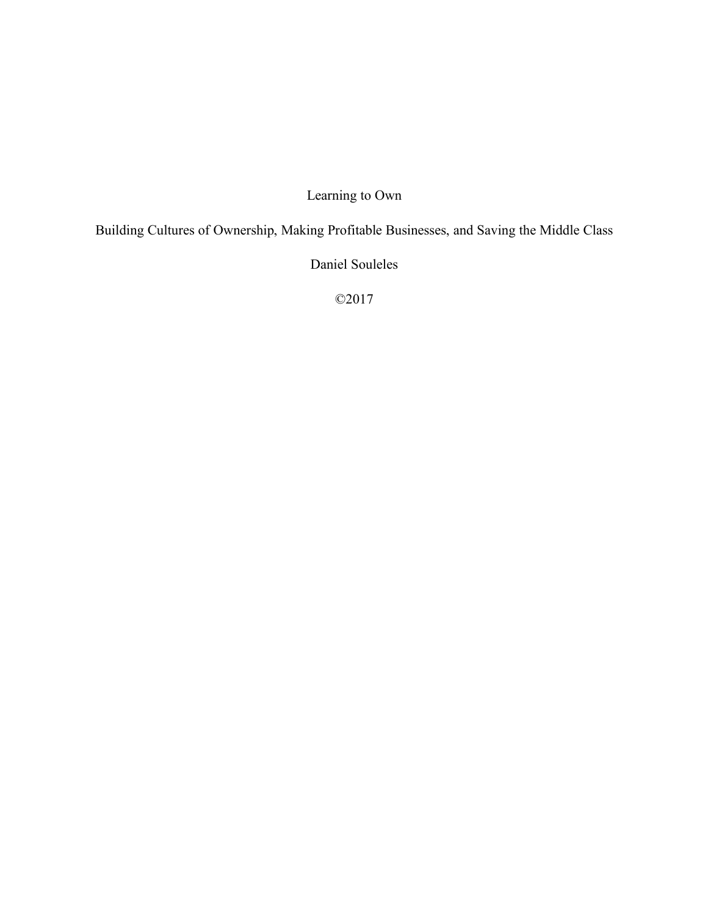Learning to Own

Building Cultures of Ownership, Making Profitable Businesses, and Saving the Middle Class

Daniel Souleles

©2017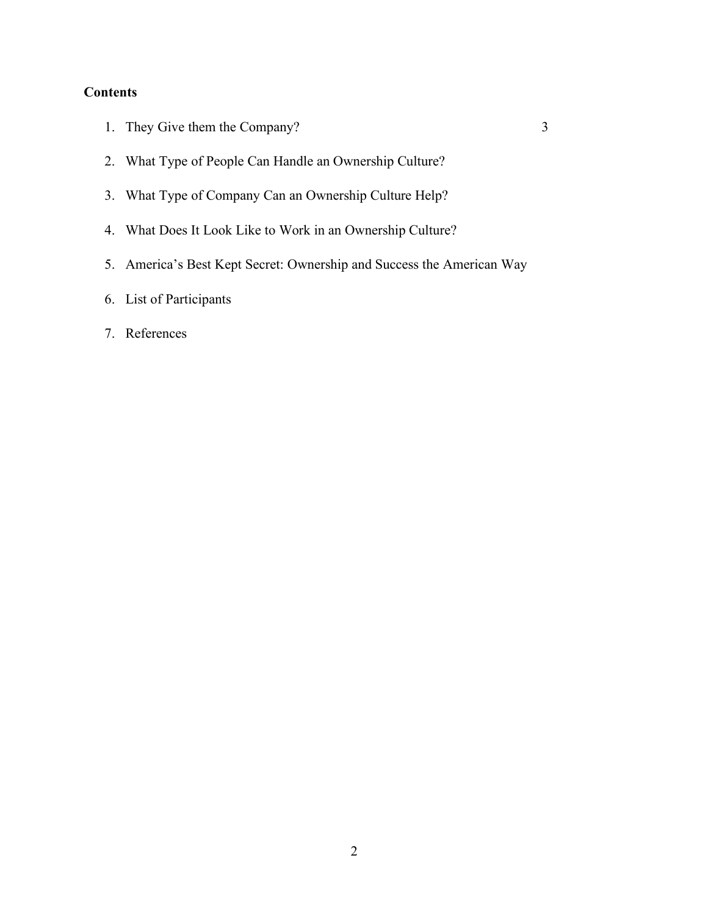## **Contents**

- 1. They Give them the Company? 3
- 2. What Type of People Can Handle an Ownership Culture?
- 3. What Type of Company Can an Ownership Culture Help?
- 4. What Does It Look Like to Work in an Ownership Culture?
- 5. America's Best Kept Secret: Ownership and Success the American Way
- 6. List of Participants
- 7. References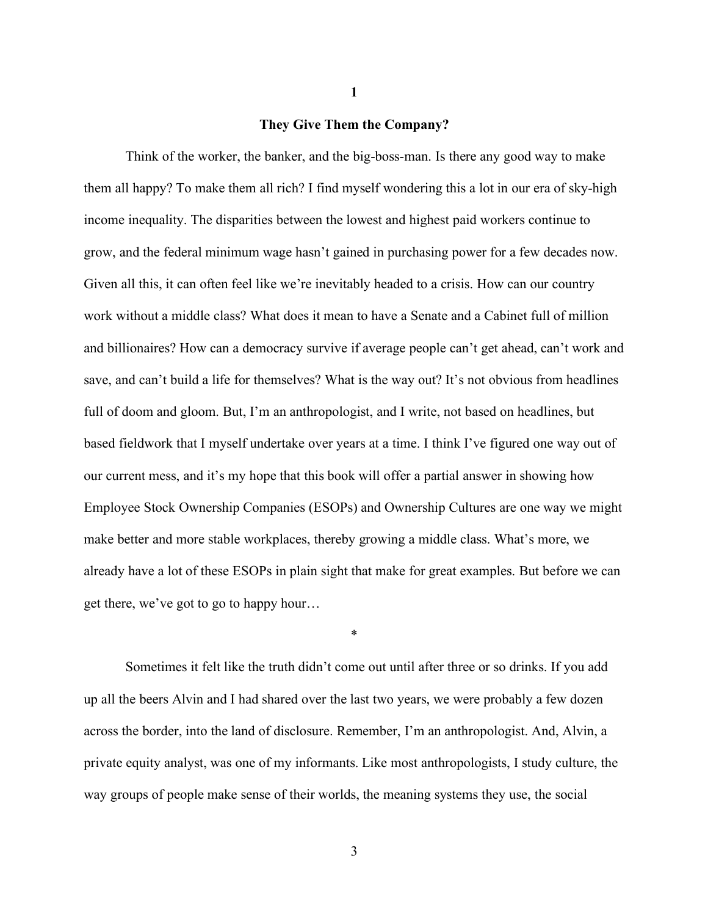## **They Give Them the Company?**

**1**

Think of the worker, the banker, and the big-boss-man. Is there any good way to make them all happy? To make them all rich? I find myself wondering this a lot in our era of sky-high income inequality. The disparities between the lowest and highest paid workers continue to grow, and the federal minimum wage hasn't gained in purchasing power for a few decades now. Given all this, it can often feel like we're inevitably headed to a crisis. How can our country work without a middle class? What does it mean to have a Senate and a Cabinet full of million and billionaires? How can a democracy survive if average people can't get ahead, can't work and save, and can't build a life for themselves? What is the way out? It's not obvious from headlines full of doom and gloom. But, I'm an anthropologist, and I write, not based on headlines, but based fieldwork that I myself undertake over years at a time. I think I've figured one way out of our current mess, and it's my hope that this book will offer a partial answer in showing how Employee Stock Ownership Companies (ESOPs) and Ownership Cultures are one way we might make better and more stable workplaces, thereby growing a middle class. What's more, we already have a lot of these ESOPs in plain sight that make for great examples. But before we can get there, we've got to go to happy hour…

Sometimes it felt like the truth didn't come out until after three or so drinks. If you add up all the beers Alvin and I had shared over the last two years, we were probably a few dozen across the border, into the land of disclosure. Remember, I'm an anthropologist. And, Alvin, a private equity analyst, was one of my informants. Like most anthropologists, I study culture, the way groups of people make sense of their worlds, the meaning systems they use, the social

\*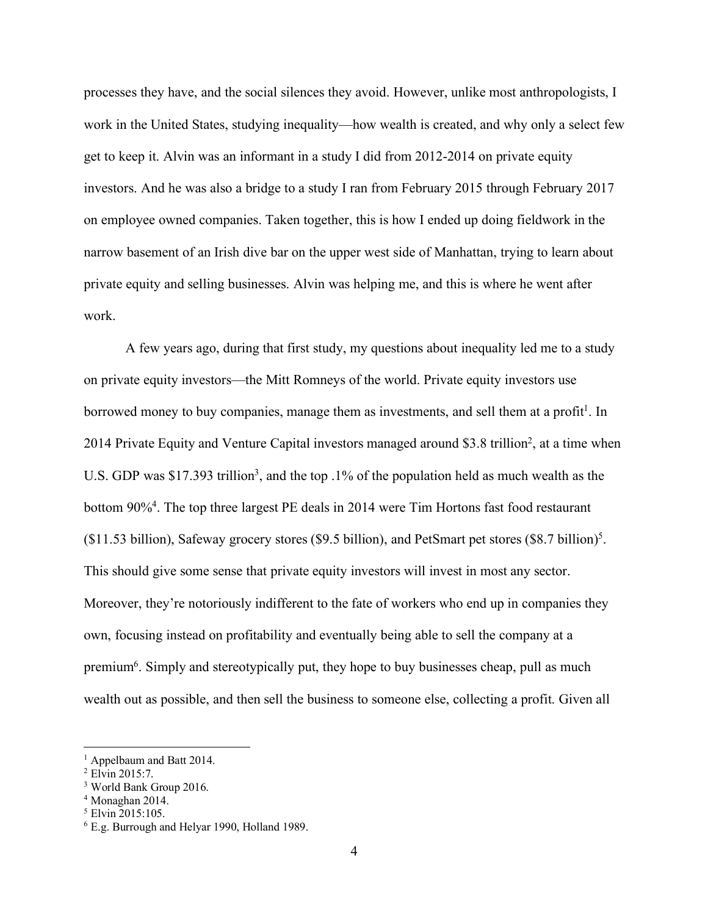processes they have, and the social silences they avoid. However, unlike most anthropologists, I work in the United States, studying inequality—how wealth is created, and why only a select few get to keep it. Alvin was an informant in a study I did from 2012-2014 on private equity investors. And he was also a bridge to a study I ran from February 2015 through February 2017 on employee owned companies. Taken together, this is how I ended up doing fieldwork in the narrow basement of an Irish dive bar on the upper west side of Manhattan, trying to learn about private equity and selling businesses. Alvin was helping me, and this is where he went after work.

A few years ago, during that first study, my questions about inequality led me to a study on private equity investors—the Mitt Romneys of the world. Private equity investors use borrowed money to buy companies, manage them as investments, and sell them at a profit<sup>1</sup>. In 2014 Private Equity and Venture Capital investors managed around \$3.8 trillion2, at a time when U.S. GDP was \$17.393 trillion<sup>3</sup>, and the top .1% of the population held as much wealth as the bottom 90%4. The top three largest PE deals in 2014 were Tim Hortons fast food restaurant (\$11.53 billion), Safeway grocery stores (\$9.5 billion), and PetSmart pet stores (\$8.7 billion)<sup>5</sup>. This should give some sense that private equity investors will invest in most any sector. Moreover, they're notoriously indifferent to the fate of workers who end up in companies they own, focusing instead on profitability and eventually being able to sell the company at a premium<sup>6</sup>. Simply and stereotypically put, they hope to buy businesses cheap, pull as much wealth out as possible, and then sell the business to someone else, collecting a profit. Given all

<sup>&</sup>lt;sup>1</sup> Appelbaum and Batt 2014.

<sup>2</sup> Elvin 2015:7.

<sup>3</sup> World Bank Group 2016.

<sup>4</sup> Monaghan 2014.

<sup>5</sup> Elvin 2015:105.

<sup>6</sup> E.g. Burrough and Helyar 1990, Holland 1989.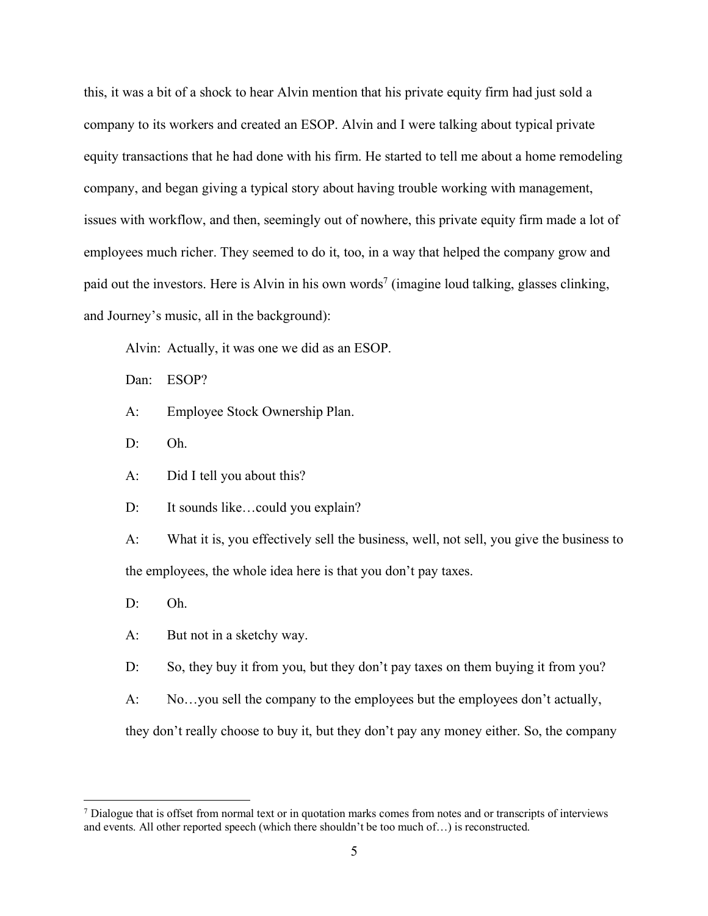this, it was a bit of a shock to hear Alvin mention that his private equity firm had just sold a company to its workers and created an ESOP. Alvin and I were talking about typical private equity transactions that he had done with his firm. He started to tell me about a home remodeling company, and began giving a typical story about having trouble working with management, issues with workflow, and then, seemingly out of nowhere, this private equity firm made a lot of employees much richer. They seemed to do it, too, in a way that helped the company grow and paid out the investors. Here is Alvin in his own words<sup>7</sup> (imagine loud talking, glasses clinking, and Journey's music, all in the background):

Alvin: Actually, it was one we did as an ESOP.

Dan: ESOP?

- A: Employee Stock Ownership Plan.
- D: Oh.
- A: Did I tell you about this?

D: It sounds like...could you explain?

A: What it is, you effectively sell the business, well, not sell, you give the business to the employees, the whole idea here is that you don't pay taxes.

D: Oh.

A: But not in a sketchy way.

D: So, they buy it from you, but they don't pay taxes on them buying it from you?

A: No…you sell the company to the employees but the employees don't actually,

they don't really choose to buy it, but they don't pay any money either. So, the company

 <sup>7</sup> Dialogue that is offset from normal text or in quotation marks comes from notes and or transcripts of interviews and events. All other reported speech (which there shouldn't be too much of…) is reconstructed.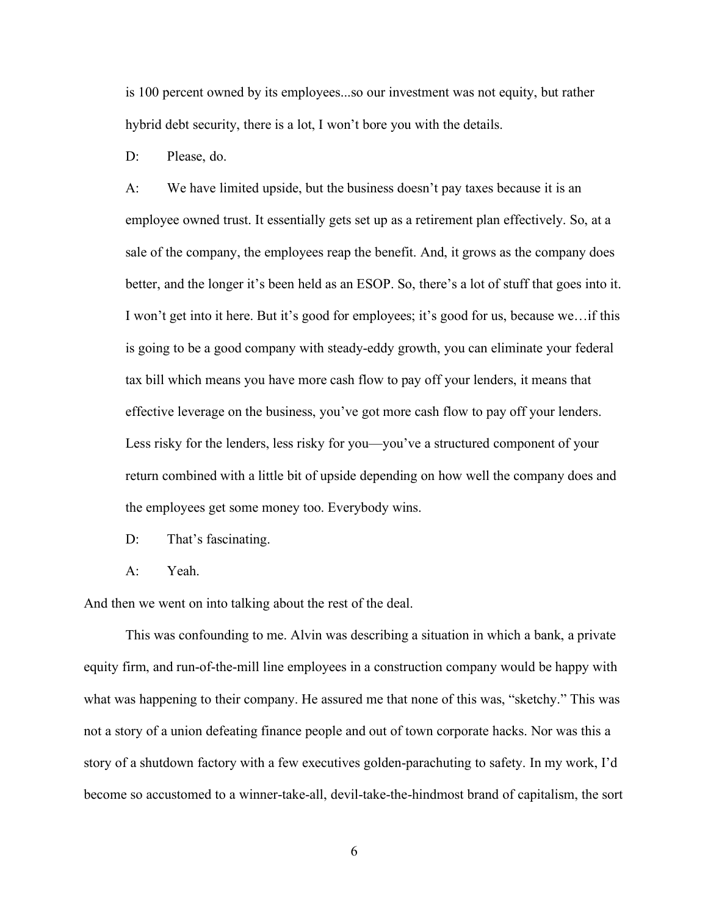is 100 percent owned by its employees...so our investment was not equity, but rather hybrid debt security, there is a lot, I won't bore you with the details.

D: Please, do.

A: We have limited upside, but the business doesn't pay taxes because it is an employee owned trust. It essentially gets set up as a retirement plan effectively. So, at a sale of the company, the employees reap the benefit. And, it grows as the company does better, and the longer it's been held as an ESOP. So, there's a lot of stuff that goes into it. I won't get into it here. But it's good for employees; it's good for us, because we…if this is going to be a good company with steady-eddy growth, you can eliminate your federal tax bill which means you have more cash flow to pay off your lenders, it means that effective leverage on the business, you've got more cash flow to pay off your lenders. Less risky for the lenders, less risky for you—you've a structured component of your return combined with a little bit of upside depending on how well the company does and the employees get some money too. Everybody wins.

- D: That's fascinating.
- A: Yeah.

And then we went on into talking about the rest of the deal.

This was confounding to me. Alvin was describing a situation in which a bank, a private equity firm, and run-of-the-mill line employees in a construction company would be happy with what was happening to their company. He assured me that none of this was, "sketchy." This was not a story of a union defeating finance people and out of town corporate hacks. Nor was this a story of a shutdown factory with a few executives golden-parachuting to safety. In my work, I'd become so accustomed to a winner-take-all, devil-take-the-hindmost brand of capitalism, the sort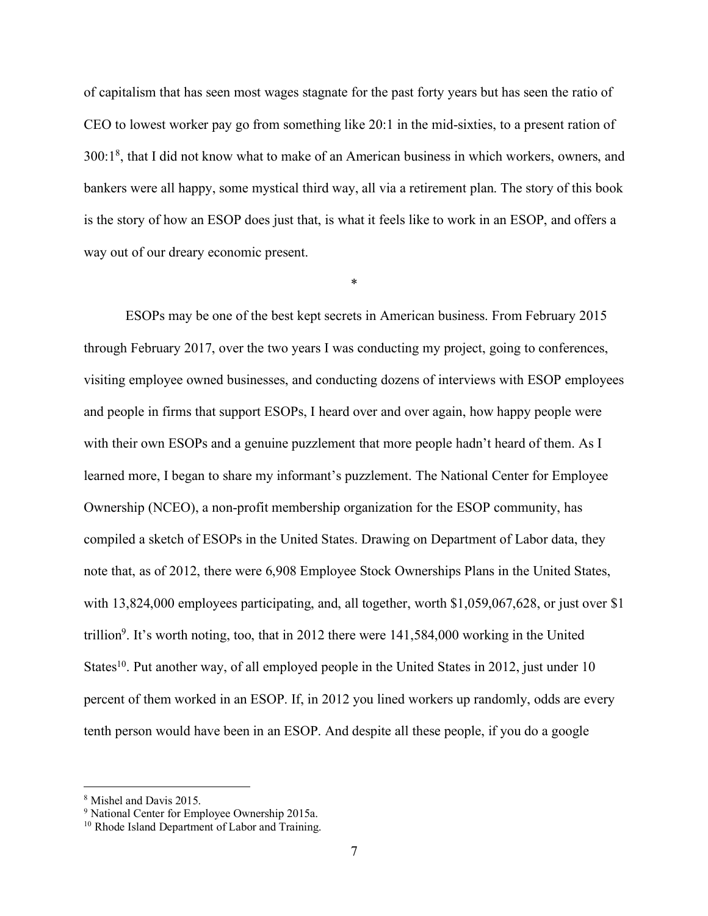of capitalism that has seen most wages stagnate for the past forty years but has seen the ratio of CEO to lowest worker pay go from something like 20:1 in the mid-sixties, to a present ration of 300:18 , that I did not know what to make of an American business in which workers, owners, and bankers were all happy, some mystical third way, all via a retirement plan. The story of this book is the story of how an ESOP does just that, is what it feels like to work in an ESOP, and offers a way out of our dreary economic present.

\*

ESOPs may be one of the best kept secrets in American business. From February 2015 through February 2017, over the two years I was conducting my project, going to conferences, visiting employee owned businesses, and conducting dozens of interviews with ESOP employees and people in firms that support ESOPs, I heard over and over again, how happy people were with their own ESOPs and a genuine puzzlement that more people hadn't heard of them. As I learned more, I began to share my informant's puzzlement. The National Center for Employee Ownership (NCEO), a non-profit membership organization for the ESOP community, has compiled a sketch of ESOPs in the United States. Drawing on Department of Labor data, they note that, as of 2012, there were 6,908 Employee Stock Ownerships Plans in the United States, with 13,824,000 employees participating, and, all together, worth \$1,059,067,628, or just over \$1 trillion<sup>9</sup>. It's worth noting, too, that in 2012 there were  $141,584,000$  working in the United States<sup>10</sup>. Put another way, of all employed people in the United States in 2012, just under 10 percent of them worked in an ESOP. If, in 2012 you lined workers up randomly, odds are every tenth person would have been in an ESOP. And despite all these people, if you do a google

 <sup>8</sup> Mishel and Davis 2015.

<sup>9</sup> National Center for Employee Ownership 2015a.

<sup>&</sup>lt;sup>10</sup> Rhode Island Department of Labor and Training.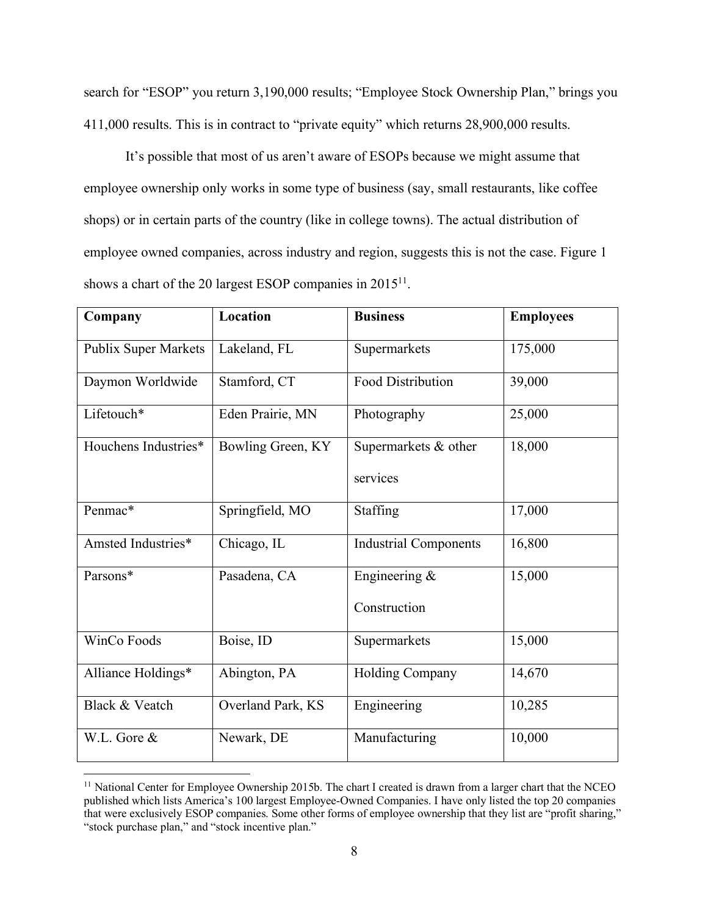search for "ESOP" you return 3,190,000 results; "Employee Stock Ownership Plan," brings you 411,000 results. This is in contract to "private equity" which returns 28,900,000 results.

It's possible that most of us aren't aware of ESOPs because we might assume that employee ownership only works in some type of business (say, small restaurants, like coffee shops) or in certain parts of the country (like in college towns). The actual distribution of employee owned companies, across industry and region, suggests this is not the case. Figure 1 shows a chart of the 20 largest ESOP companies in 201511.

| Company                     | Location          | <b>Business</b>              | <b>Employees</b> |
|-----------------------------|-------------------|------------------------------|------------------|
| <b>Publix Super Markets</b> | Lakeland, FL      | Supermarkets                 | 175,000          |
| Daymon Worldwide            | Stamford, CT      | <b>Food Distribution</b>     | 39,000           |
| Lifetouch*                  | Eden Prairie, MN  | Photography                  | 25,000           |
| Houchens Industries*        | Bowling Green, KY | Supermarkets & other         | 18,000           |
|                             |                   | services                     |                  |
| Penmac*                     | Springfield, MO   | Staffing                     | 17,000           |
| Amsted Industries*          | Chicago, IL       | <b>Industrial Components</b> | 16,800           |
| Parsons*                    | Pasadena, CA      | Engineering $\&$             | 15,000           |
|                             |                   | Construction                 |                  |
| WinCo Foods                 | Boise, ID         | Supermarkets                 | 15,000           |
| Alliance Holdings*          | Abington, PA      | Holding Company              | 14,670           |
| Black & Veatch              | Overland Park, KS | Engineering                  | 10,285           |
| W.L. Gore &                 | Newark, DE        | Manufacturing                | 10,000           |

<sup>&</sup>lt;sup>11</sup> National Center for Employee Ownership 2015b. The chart I created is drawn from a larger chart that the NCEO published which lists America's 100 largest Employee-Owned Companies. I have only listed the top 20 companies that were exclusively ESOP companies. Some other forms of employee ownership that they list are "profit sharing," "stock purchase plan," and "stock incentive plan."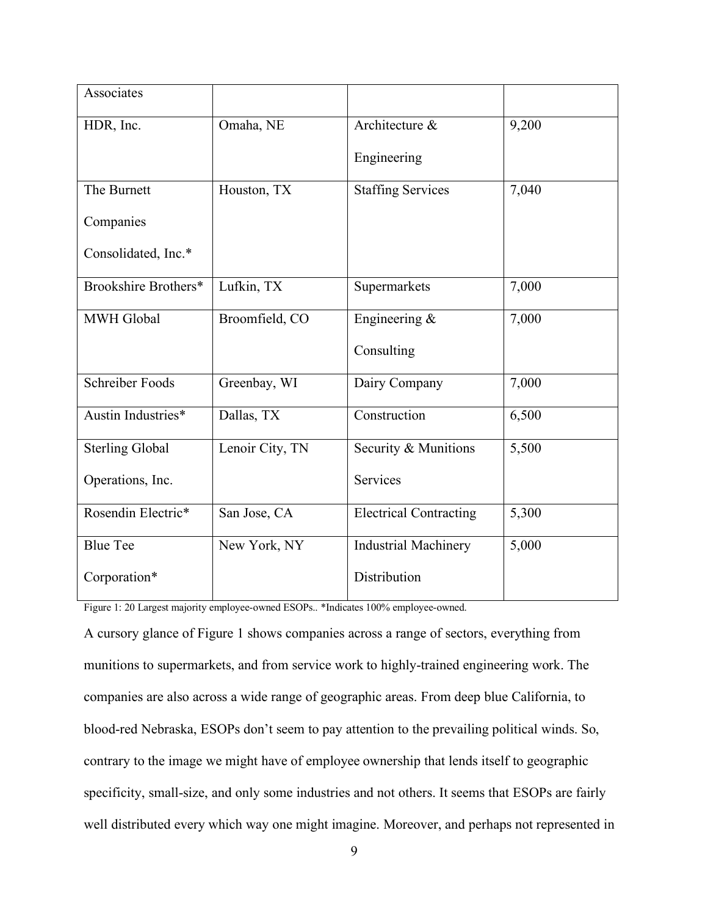| Associates             |                 |                               |       |
|------------------------|-----------------|-------------------------------|-------|
| HDR, Inc.              | Omaha, NE       | Architecture &                | 9,200 |
|                        |                 | Engineering                   |       |
| The Burnett            | Houston, TX     | <b>Staffing Services</b>      | 7,040 |
| Companies              |                 |                               |       |
| Consolidated, Inc.*    |                 |                               |       |
| Brookshire Brothers*   | Lufkin, TX      | Supermarkets                  | 7,000 |
| <b>MWH Global</b>      | Broomfield, CO  | Engineering &                 | 7,000 |
|                        |                 | Consulting                    |       |
| <b>Schreiber Foods</b> | Greenbay, WI    | Dairy Company                 | 7,000 |
| Austin Industries*     | Dallas, TX      | Construction                  | 6,500 |
| <b>Sterling Global</b> | Lenoir City, TN | Security & Munitions          | 5,500 |
| Operations, Inc.       |                 | Services                      |       |
| Rosendin Electric*     | San Jose, CA    | <b>Electrical Contracting</b> | 5,300 |
| <b>Blue Tee</b>        | New York, NY    | <b>Industrial Machinery</b>   | 5,000 |
| Corporation*           |                 | Distribution                  |       |

Figure 1: 20 Largest majority employee-owned ESOPs.. \*Indicates 100% employee-owned.

A cursory glance of Figure 1 shows companies across a range of sectors, everything from munitions to supermarkets, and from service work to highly-trained engineering work. The companies are also across a wide range of geographic areas. From deep blue California, to blood-red Nebraska, ESOPs don't seem to pay attention to the prevailing political winds. So, contrary to the image we might have of employee ownership that lends itself to geographic specificity, small-size, and only some industries and not others. It seems that ESOPs are fairly well distributed every which way one might imagine. Moreover, and perhaps not represented in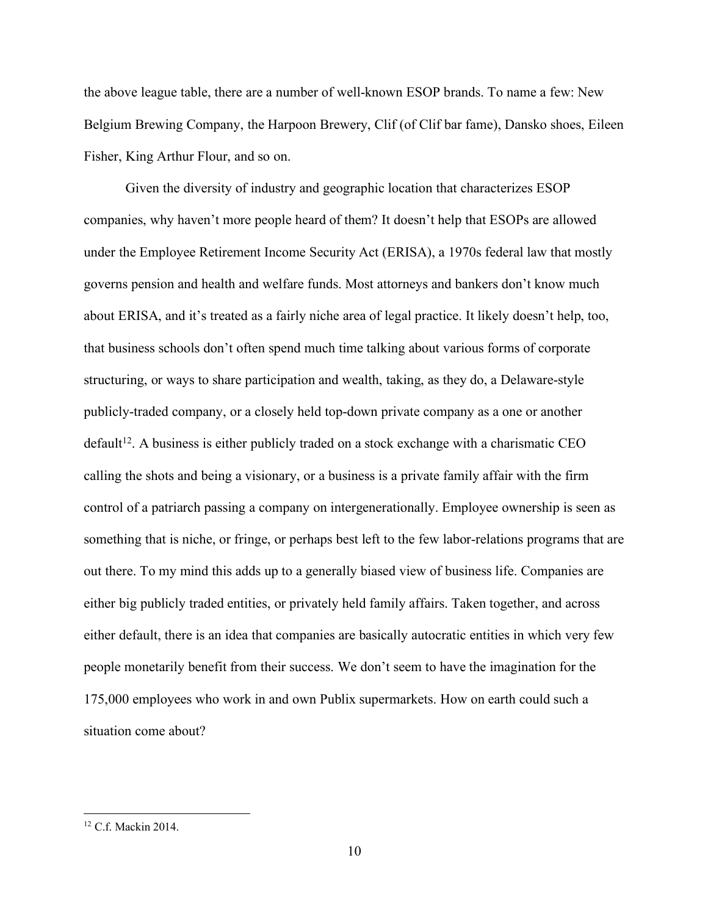the above league table, there are a number of well-known ESOP brands. To name a few: New Belgium Brewing Company, the Harpoon Brewery, Clif (of Clif bar fame), Dansko shoes, Eileen Fisher, King Arthur Flour, and so on.

Given the diversity of industry and geographic location that characterizes ESOP companies, why haven't more people heard of them? It doesn't help that ESOPs are allowed under the Employee Retirement Income Security Act (ERISA), a 1970s federal law that mostly governs pension and health and welfare funds. Most attorneys and bankers don't know much about ERISA, and it's treated as a fairly niche area of legal practice. It likely doesn't help, too, that business schools don't often spend much time talking about various forms of corporate structuring, or ways to share participation and wealth, taking, as they do, a Delaware-style publicly-traded company, or a closely held top-down private company as a one or another  $default<sup>12</sup>$ . A business is either publicly traded on a stock exchange with a charismatic CEO calling the shots and being a visionary, or a business is a private family affair with the firm control of a patriarch passing a company on intergenerationally. Employee ownership is seen as something that is niche, or fringe, or perhaps best left to the few labor-relations programs that are out there. To my mind this adds up to a generally biased view of business life. Companies are either big publicly traded entities, or privately held family affairs. Taken together, and across either default, there is an idea that companies are basically autocratic entities in which very few people monetarily benefit from their success. We don't seem to have the imagination for the 175,000 employees who work in and own Publix supermarkets. How on earth could such a situation come about?

<sup>&</sup>lt;sup>12</sup> C.f. Mackin 2014.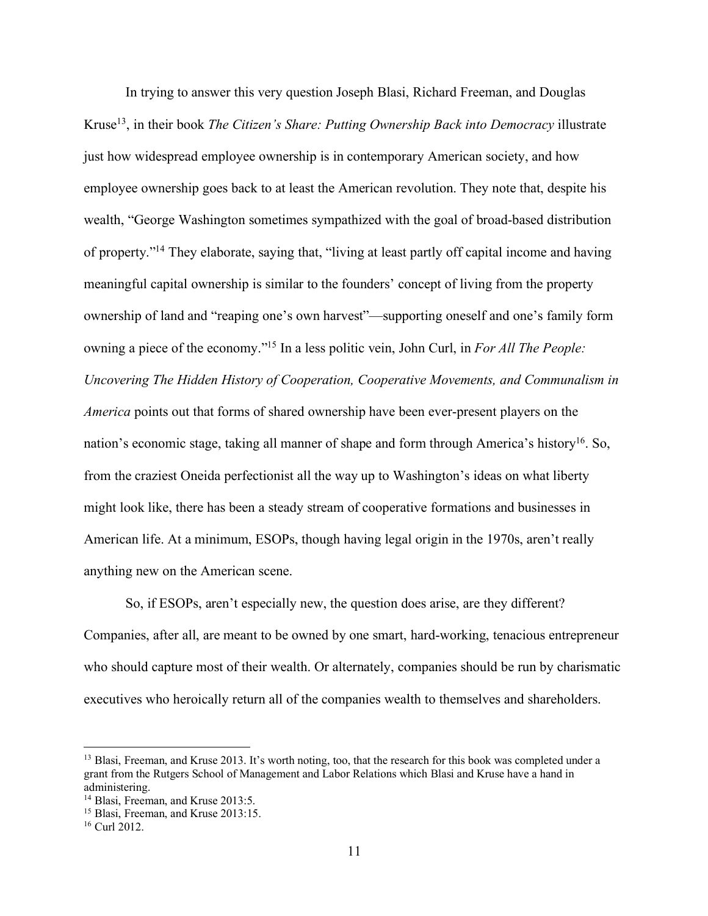In trying to answer this very question Joseph Blasi, Richard Freeman, and Douglas Kruse13, in their book *The Citizen's Share: Putting Ownership Back into Democracy* illustrate just how widespread employee ownership is in contemporary American society, and how employee ownership goes back to at least the American revolution. They note that, despite his wealth, "George Washington sometimes sympathized with the goal of broad-based distribution of property."14 They elaborate, saying that, "living at least partly off capital income and having meaningful capital ownership is similar to the founders' concept of living from the property ownership of land and "reaping one's own harvest"—supporting oneself and one's family form owning a piece of the economy."15 In a less politic vein, John Curl, in *For All The People: Uncovering The Hidden History of Cooperation, Cooperative Movements, and Communalism in America* points out that forms of shared ownership have been ever-present players on the nation's economic stage, taking all manner of shape and form through America's history<sup>16</sup>. So, from the craziest Oneida perfectionist all the way up to Washington's ideas on what liberty might look like, there has been a steady stream of cooperative formations and businesses in American life. At a minimum, ESOPs, though having legal origin in the 1970s, aren't really anything new on the American scene.

So, if ESOPs, aren't especially new, the question does arise, are they different? Companies, after all, are meant to be owned by one smart, hard-working, tenacious entrepreneur who should capture most of their wealth. Or alternately, companies should be run by charismatic executives who heroically return all of the companies wealth to themselves and shareholders.

 $<sup>13</sup>$  Blasi, Freeman, and Kruse 2013. It's worth noting, too, that the research for this book was completed under a</sup> grant from the Rutgers School of Management and Labor Relations which Blasi and Kruse have a hand in administering.

<sup>&</sup>lt;sup>14</sup> Blasi, Freeman, and Kruse 2013:5.

<sup>15</sup> Blasi, Freeman, and Kruse 2013:15.

<sup>&</sup>lt;sup>16</sup> Curl 2012.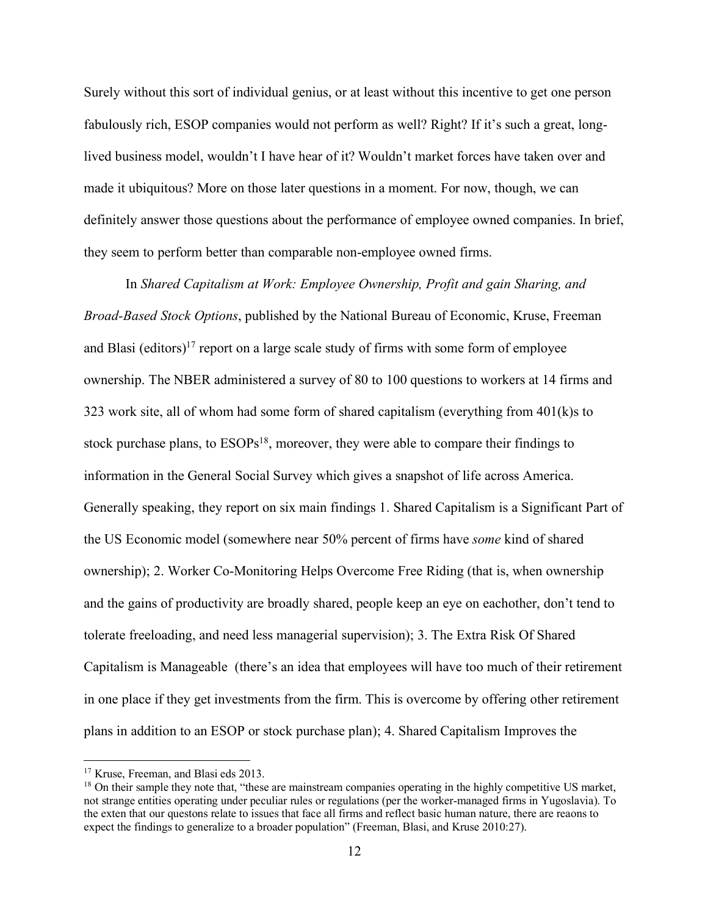Surely without this sort of individual genius, or at least without this incentive to get one person fabulously rich, ESOP companies would not perform as well? Right? If it's such a great, longlived business model, wouldn't I have hear of it? Wouldn't market forces have taken over and made it ubiquitous? More on those later questions in a moment. For now, though, we can definitely answer those questions about the performance of employee owned companies. In brief, they seem to perform better than comparable non-employee owned firms.

In *Shared Capitalism at Work: Employee Ownership, Profit and gain Sharing, and Broad-Based Stock Options*, published by the National Bureau of Economic, Kruse, Freeman and Blasi (editors)<sup>17</sup> report on a large scale study of firms with some form of employee ownership. The NBER administered a survey of 80 to 100 questions to workers at 14 firms and 323 work site, all of whom had some form of shared capitalism (everything from  $401(k)$ s to stock purchase plans, to  $ESOPs<sup>18</sup>$ , moreover, they were able to compare their findings to information in the General Social Survey which gives a snapshot of life across America. Generally speaking, they report on six main findings 1. Shared Capitalism is a Significant Part of the US Economic model (somewhere near 50% percent of firms have *some* kind of shared ownership); 2. Worker Co-Monitoring Helps Overcome Free Riding (that is, when ownership and the gains of productivity are broadly shared, people keep an eye on eachother, don't tend to tolerate freeloading, and need less managerial supervision); 3. The Extra Risk Of Shared Capitalism is Manageable (there's an idea that employees will have too much of their retirement in one place if they get investments from the firm. This is overcome by offering other retirement plans in addition to an ESOP or stock purchase plan); 4. Shared Capitalism Improves the

<sup>&</sup>lt;sup>17</sup> Kruse, Freeman, and Blasi eds 2013.

<sup>&</sup>lt;sup>18</sup> On their sample they note that, "these are mainstream companies operating in the highly competitive US market, not strange entities operating under peculiar rules or regulations (per the worker-managed firms in Yugoslavia). To the exten that our questons relate to issues that face all firms and reflect basic human nature, there are reaons to expect the findings to generalize to a broader population" (Freeman, Blasi, and Kruse 2010:27).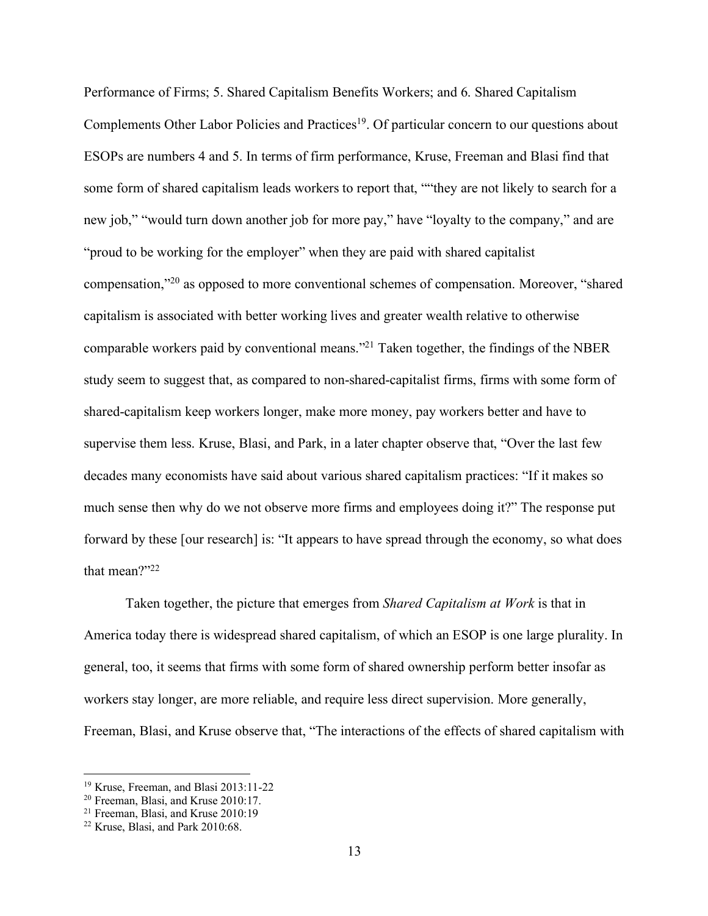Performance of Firms; 5. Shared Capitalism Benefits Workers; and 6. Shared Capitalism Complements Other Labor Policies and Practices<sup>19</sup>. Of particular concern to our questions about ESOPs are numbers 4 and 5. In terms of firm performance, Kruse, Freeman and Blasi find that some form of shared capitalism leads workers to report that, ""they are not likely to search for a new job," "would turn down another job for more pay," have "loyalty to the company," and are "proud to be working for the employer" when they are paid with shared capitalist compensation,"20 as opposed to more conventional schemes of compensation. Moreover, "shared capitalism is associated with better working lives and greater wealth relative to otherwise comparable workers paid by conventional means."21 Taken together, the findings of the NBER study seem to suggest that, as compared to non-shared-capitalist firms, firms with some form of shared-capitalism keep workers longer, make more money, pay workers better and have to supervise them less. Kruse, Blasi, and Park, in a later chapter observe that, "Over the last few decades many economists have said about various shared capitalism practices: "If it makes so much sense then why do we not observe more firms and employees doing it?" The response put forward by these [our research] is: "It appears to have spread through the economy, so what does that mean?"22

Taken together, the picture that emerges from *Shared Capitalism at Work* is that in America today there is widespread shared capitalism, of which an ESOP is one large plurality. In general, too, it seems that firms with some form of shared ownership perform better insofar as workers stay longer, are more reliable, and require less direct supervision. More generally, Freeman, Blasi, and Kruse observe that, "The interactions of the effects of shared capitalism with

 <sup>19</sup> Kruse, Freeman, and Blasi 2013:11-22

<sup>20</sup> Freeman, Blasi, and Kruse 2010:17.

<sup>21</sup> Freeman, Blasi, and Kruse 2010:19

<sup>22</sup> Kruse, Blasi, and Park 2010:68.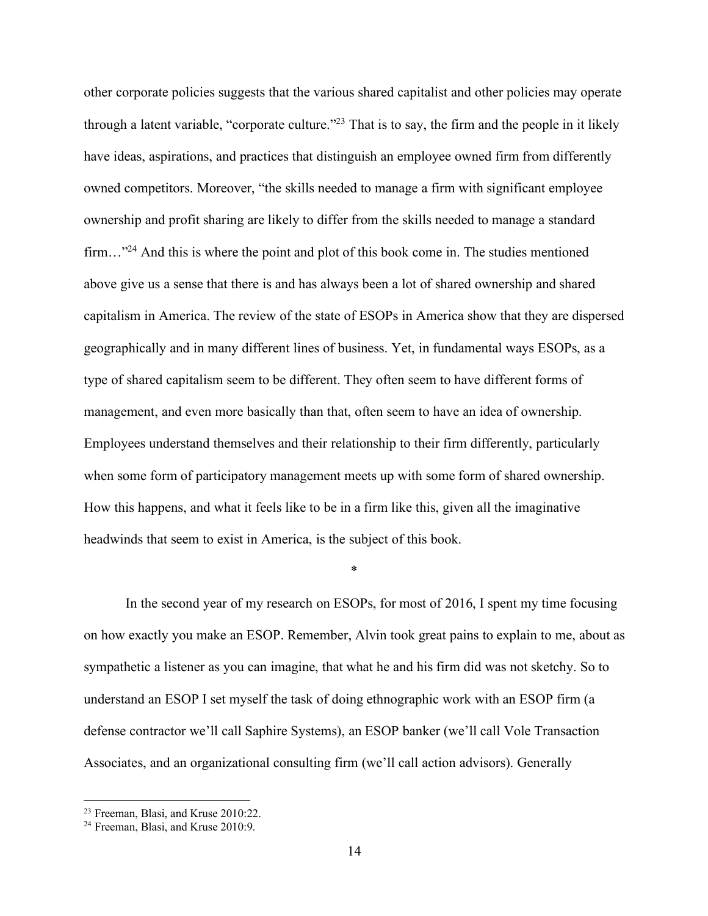other corporate policies suggests that the various shared capitalist and other policies may operate through a latent variable, "corporate culture."23 That is to say, the firm and the people in it likely have ideas, aspirations, and practices that distinguish an employee owned firm from differently owned competitors. Moreover, "the skills needed to manage a firm with significant employee ownership and profit sharing are likely to differ from the skills needed to manage a standard firm...<sup>"24</sup> And this is where the point and plot of this book come in. The studies mentioned above give us a sense that there is and has always been a lot of shared ownership and shared capitalism in America. The review of the state of ESOPs in America show that they are dispersed geographically and in many different lines of business. Yet, in fundamental ways ESOPs, as a type of shared capitalism seem to be different. They often seem to have different forms of management, and even more basically than that, often seem to have an idea of ownership. Employees understand themselves and their relationship to their firm differently, particularly when some form of participatory management meets up with some form of shared ownership. How this happens, and what it feels like to be in a firm like this, given all the imaginative headwinds that seem to exist in America, is the subject of this book.

\*

In the second year of my research on ESOPs, for most of 2016, I spent my time focusing on how exactly you make an ESOP. Remember, Alvin took great pains to explain to me, about as sympathetic a listener as you can imagine, that what he and his firm did was not sketchy. So to understand an ESOP I set myself the task of doing ethnographic work with an ESOP firm (a defense contractor we'll call Saphire Systems), an ESOP banker (we'll call Vole Transaction Associates, and an organizational consulting firm (we'll call action advisors). Generally

 <sup>23</sup> Freeman, Blasi, and Kruse 2010:22.

<sup>24</sup> Freeman, Blasi, and Kruse 2010:9.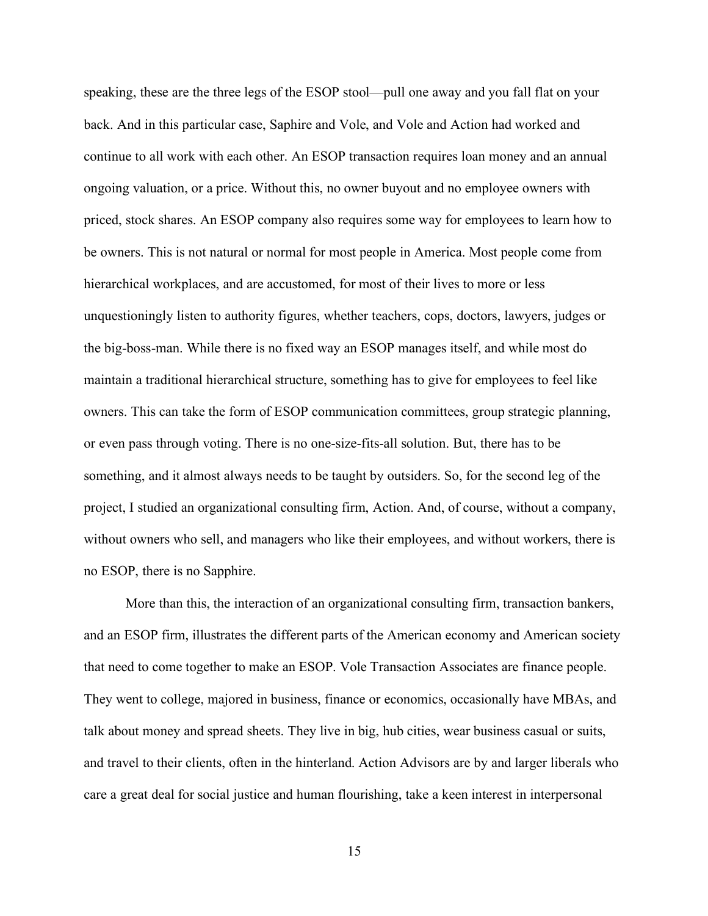speaking, these are the three legs of the ESOP stool—pull one away and you fall flat on your back. And in this particular case, Saphire and Vole, and Vole and Action had worked and continue to all work with each other. An ESOP transaction requires loan money and an annual ongoing valuation, or a price. Without this, no owner buyout and no employee owners with priced, stock shares. An ESOP company also requires some way for employees to learn how to be owners. This is not natural or normal for most people in America. Most people come from hierarchical workplaces, and are accustomed, for most of their lives to more or less unquestioningly listen to authority figures, whether teachers, cops, doctors, lawyers, judges or the big-boss-man. While there is no fixed way an ESOP manages itself, and while most do maintain a traditional hierarchical structure, something has to give for employees to feel like owners. This can take the form of ESOP communication committees, group strategic planning, or even pass through voting. There is no one-size-fits-all solution. But, there has to be something, and it almost always needs to be taught by outsiders. So, for the second leg of the project, I studied an organizational consulting firm, Action. And, of course, without a company, without owners who sell, and managers who like their employees, and without workers, there is no ESOP, there is no Sapphire.

More than this, the interaction of an organizational consulting firm, transaction bankers, and an ESOP firm, illustrates the different parts of the American economy and American society that need to come together to make an ESOP. Vole Transaction Associates are finance people. They went to college, majored in business, finance or economics, occasionally have MBAs, and talk about money and spread sheets. They live in big, hub cities, wear business casual or suits, and travel to their clients, often in the hinterland. Action Advisors are by and larger liberals who care a great deal for social justice and human flourishing, take a keen interest in interpersonal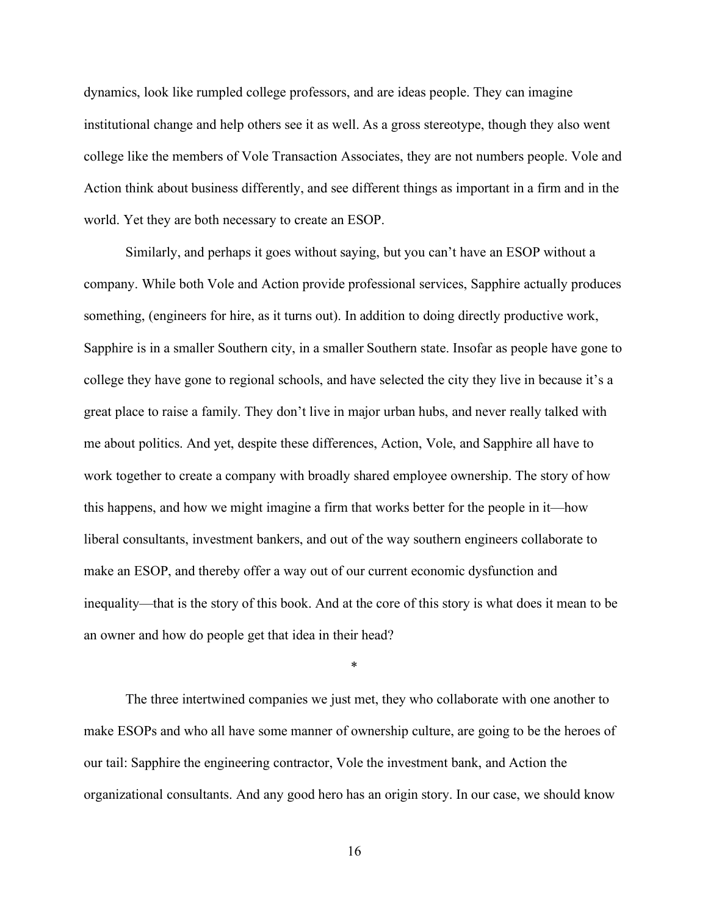dynamics, look like rumpled college professors, and are ideas people. They can imagine institutional change and help others see it as well. As a gross stereotype, though they also went college like the members of Vole Transaction Associates, they are not numbers people. Vole and Action think about business differently, and see different things as important in a firm and in the world. Yet they are both necessary to create an ESOP.

Similarly, and perhaps it goes without saying, but you can't have an ESOP without a company. While both Vole and Action provide professional services, Sapphire actually produces something, (engineers for hire, as it turns out). In addition to doing directly productive work, Sapphire is in a smaller Southern city, in a smaller Southern state. Insofar as people have gone to college they have gone to regional schools, and have selected the city they live in because it's a great place to raise a family. They don't live in major urban hubs, and never really talked with me about politics. And yet, despite these differences, Action, Vole, and Sapphire all have to work together to create a company with broadly shared employee ownership. The story of how this happens, and how we might imagine a firm that works better for the people in it—how liberal consultants, investment bankers, and out of the way southern engineers collaborate to make an ESOP, and thereby offer a way out of our current economic dysfunction and inequality—that is the story of this book. And at the core of this story is what does it mean to be an owner and how do people get that idea in their head?

The three intertwined companies we just met, they who collaborate with one another to make ESOPs and who all have some manner of ownership culture, are going to be the heroes of our tail: Sapphire the engineering contractor, Vole the investment bank, and Action the organizational consultants. And any good hero has an origin story. In our case, we should know

\*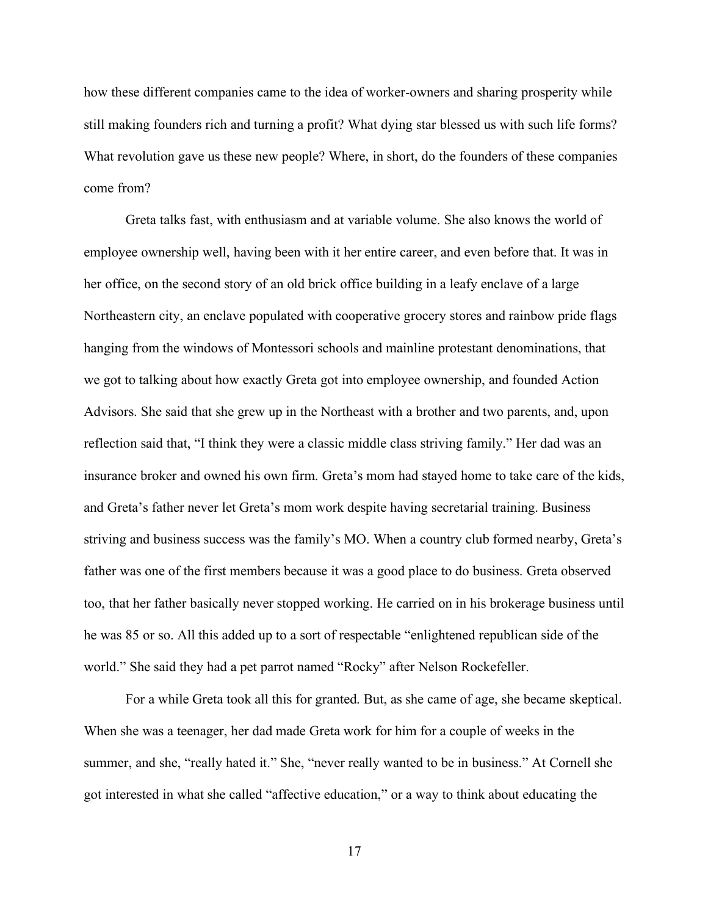how these different companies came to the idea of worker-owners and sharing prosperity while still making founders rich and turning a profit? What dying star blessed us with such life forms? What revolution gave us these new people? Where, in short, do the founders of these companies come from?

Greta talks fast, with enthusiasm and at variable volume. She also knows the world of employee ownership well, having been with it her entire career, and even before that. It was in her office, on the second story of an old brick office building in a leafy enclave of a large Northeastern city, an enclave populated with cooperative grocery stores and rainbow pride flags hanging from the windows of Montessori schools and mainline protestant denominations, that we got to talking about how exactly Greta got into employee ownership, and founded Action Advisors. She said that she grew up in the Northeast with a brother and two parents, and, upon reflection said that, "I think they were a classic middle class striving family." Her dad was an insurance broker and owned his own firm. Greta's mom had stayed home to take care of the kids, and Greta's father never let Greta's mom work despite having secretarial training. Business striving and business success was the family's MO. When a country club formed nearby, Greta's father was one of the first members because it was a good place to do business. Greta observed too, that her father basically never stopped working. He carried on in his brokerage business until he was 85 or so. All this added up to a sort of respectable "enlightened republican side of the world." She said they had a pet parrot named "Rocky" after Nelson Rockefeller.

For a while Greta took all this for granted. But, as she came of age, she became skeptical. When she was a teenager, her dad made Greta work for him for a couple of weeks in the summer, and she, "really hated it." She, "never really wanted to be in business." At Cornell she got interested in what she called "affective education," or a way to think about educating the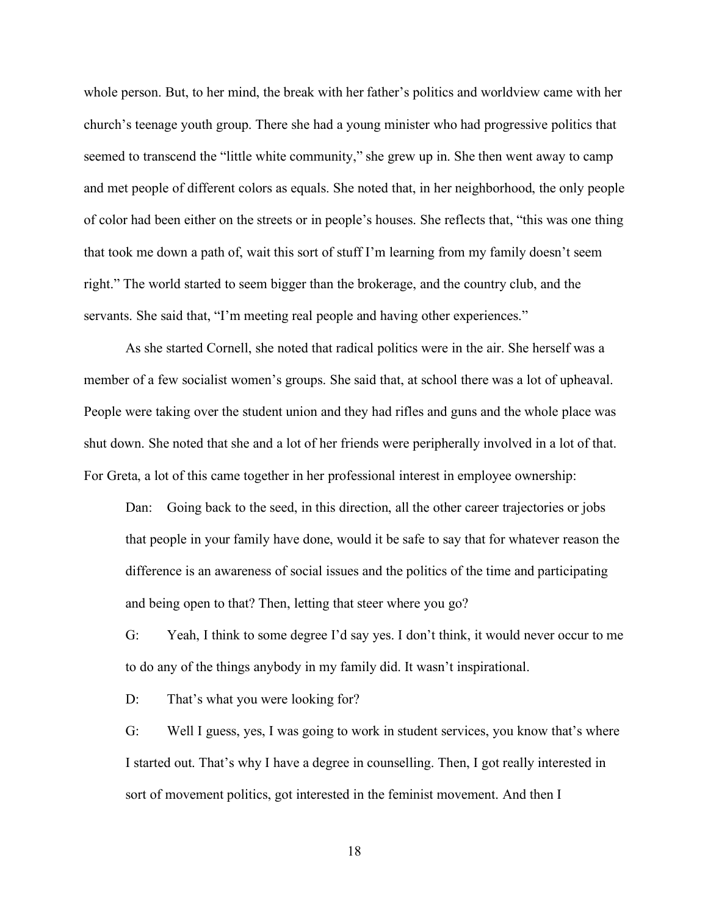whole person. But, to her mind, the break with her father's politics and worldview came with her church's teenage youth group. There she had a young minister who had progressive politics that seemed to transcend the "little white community," she grew up in. She then went away to camp and met people of different colors as equals. She noted that, in her neighborhood, the only people of color had been either on the streets or in people's houses. She reflects that, "this was one thing that took me down a path of, wait this sort of stuff I'm learning from my family doesn't seem right." The world started to seem bigger than the brokerage, and the country club, and the servants. She said that, "I'm meeting real people and having other experiences."

As she started Cornell, she noted that radical politics were in the air. She herself was a member of a few socialist women's groups. She said that, at school there was a lot of upheaval. People were taking over the student union and they had rifles and guns and the whole place was shut down. She noted that she and a lot of her friends were peripherally involved in a lot of that. For Greta, a lot of this came together in her professional interest in employee ownership:

Dan: Going back to the seed, in this direction, all the other career trajectories or jobs that people in your family have done, would it be safe to say that for whatever reason the difference is an awareness of social issues and the politics of the time and participating and being open to that? Then, letting that steer where you go?

G: Yeah, I think to some degree I'd say yes. I don't think, it would never occur to me to do any of the things anybody in my family did. It wasn't inspirational.

D: That's what you were looking for?

G: Well I guess, yes, I was going to work in student services, you know that's where I started out. That's why I have a degree in counselling. Then, I got really interested in sort of movement politics, got interested in the feminist movement. And then I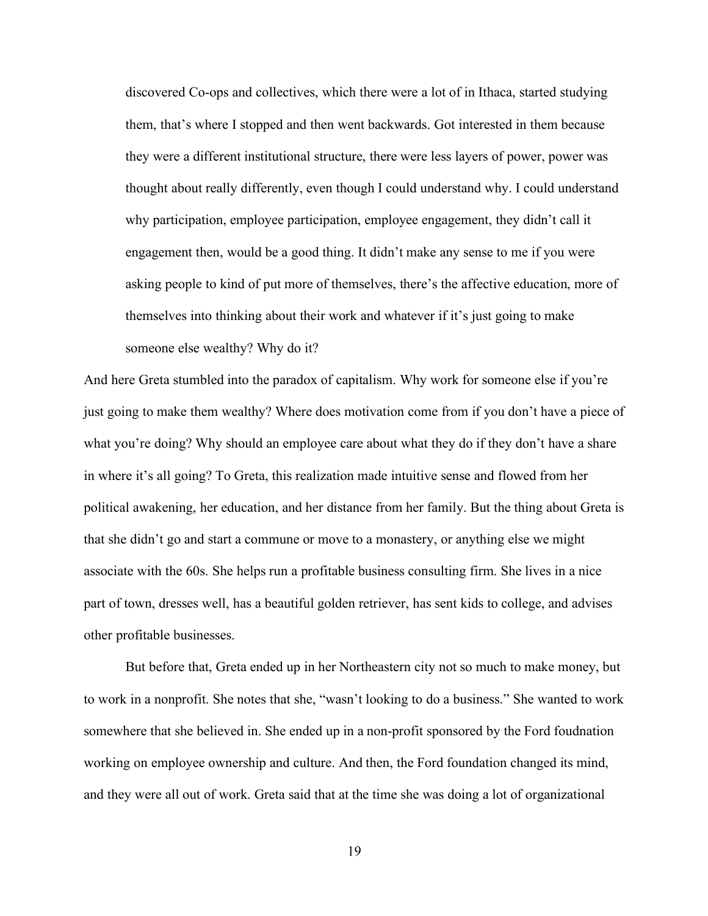discovered Co-ops and collectives, which there were a lot of in Ithaca, started studying them, that's where I stopped and then went backwards. Got interested in them because they were a different institutional structure, there were less layers of power, power was thought about really differently, even though I could understand why. I could understand why participation, employee participation, employee engagement, they didn't call it engagement then, would be a good thing. It didn't make any sense to me if you were asking people to kind of put more of themselves, there's the affective education, more of themselves into thinking about their work and whatever if it's just going to make someone else wealthy? Why do it?

And here Greta stumbled into the paradox of capitalism. Why work for someone else if you're just going to make them wealthy? Where does motivation come from if you don't have a piece of what you're doing? Why should an employee care about what they do if they don't have a share in where it's all going? To Greta, this realization made intuitive sense and flowed from her political awakening, her education, and her distance from her family. But the thing about Greta is that she didn't go and start a commune or move to a monastery, or anything else we might associate with the 60s. She helps run a profitable business consulting firm. She lives in a nice part of town, dresses well, has a beautiful golden retriever, has sent kids to college, and advises other profitable businesses.

But before that, Greta ended up in her Northeastern city not so much to make money, but to work in a nonprofit. She notes that she, "wasn't looking to do a business." She wanted to work somewhere that she believed in. She ended up in a non-profit sponsored by the Ford foudnation working on employee ownership and culture. And then, the Ford foundation changed its mind, and they were all out of work. Greta said that at the time she was doing a lot of organizational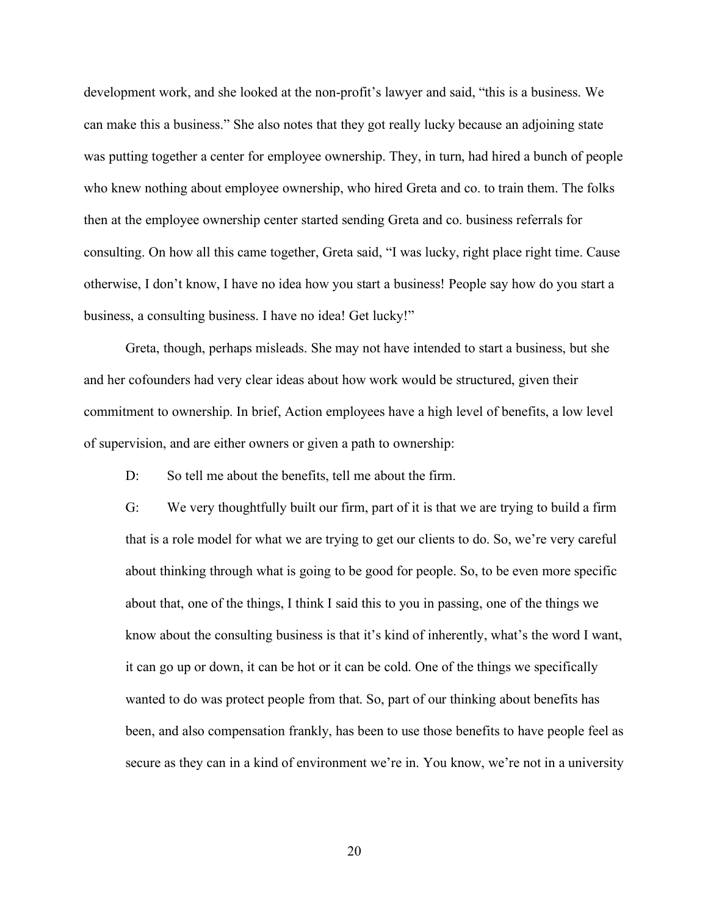development work, and she looked at the non-profit's lawyer and said, "this is a business. We can make this a business." She also notes that they got really lucky because an adjoining state was putting together a center for employee ownership. They, in turn, had hired a bunch of people who knew nothing about employee ownership, who hired Greta and co. to train them. The folks then at the employee ownership center started sending Greta and co. business referrals for consulting. On how all this came together, Greta said, "I was lucky, right place right time. Cause otherwise, I don't know, I have no idea how you start a business! People say how do you start a business, a consulting business. I have no idea! Get lucky!"

Greta, though, perhaps misleads. She may not have intended to start a business, but she and her cofounders had very clear ideas about how work would be structured, given their commitment to ownership. In brief, Action employees have a high level of benefits, a low level of supervision, and are either owners or given a path to ownership:

D: So tell me about the benefits, tell me about the firm.

G: We very thoughtfully built our firm, part of it is that we are trying to build a firm that is a role model for what we are trying to get our clients to do. So, we're very careful about thinking through what is going to be good for people. So, to be even more specific about that, one of the things, I think I said this to you in passing, one of the things we know about the consulting business is that it's kind of inherently, what's the word I want, it can go up or down, it can be hot or it can be cold. One of the things we specifically wanted to do was protect people from that. So, part of our thinking about benefits has been, and also compensation frankly, has been to use those benefits to have people feel as secure as they can in a kind of environment we're in. You know, we're not in a university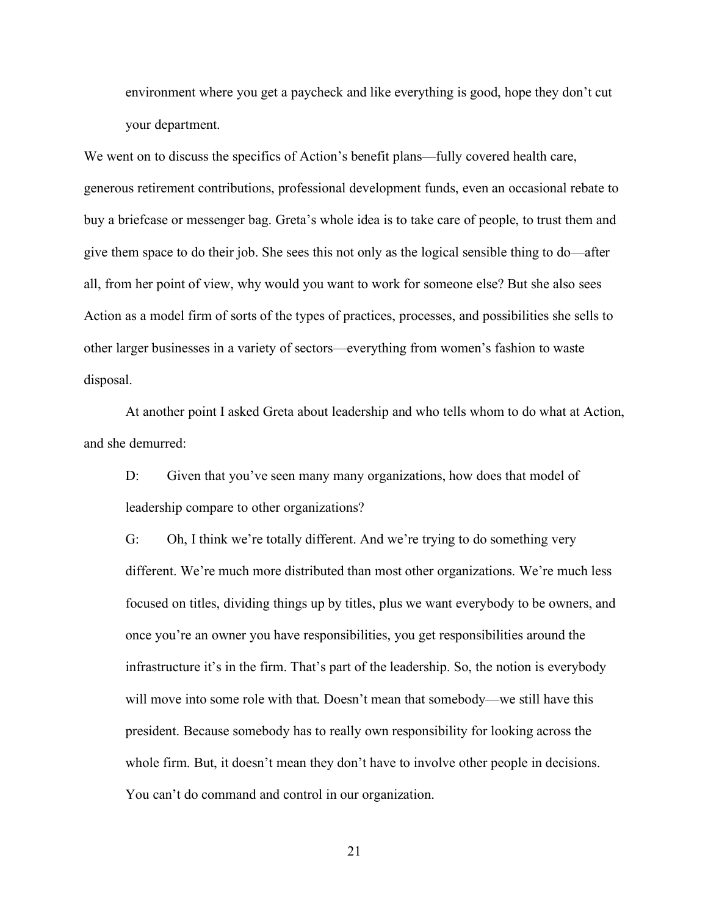environment where you get a paycheck and like everything is good, hope they don't cut your department.

We went on to discuss the specifics of Action's benefit plans—fully covered health care, generous retirement contributions, professional development funds, even an occasional rebate to buy a briefcase or messenger bag. Greta's whole idea is to take care of people, to trust them and give them space to do their job. She sees this not only as the logical sensible thing to do—after all, from her point of view, why would you want to work for someone else? But she also sees Action as a model firm of sorts of the types of practices, processes, and possibilities she sells to other larger businesses in a variety of sectors—everything from women's fashion to waste disposal.

At another point I asked Greta about leadership and who tells whom to do what at Action, and she demurred:

D: Given that you've seen many many organizations, how does that model of leadership compare to other organizations?

G: Oh, I think we're totally different. And we're trying to do something very different. We're much more distributed than most other organizations. We're much less focused on titles, dividing things up by titles, plus we want everybody to be owners, and once you're an owner you have responsibilities, you get responsibilities around the infrastructure it's in the firm. That's part of the leadership. So, the notion is everybody will move into some role with that. Doesn't mean that somebody—we still have this president. Because somebody has to really own responsibility for looking across the whole firm. But, it doesn't mean they don't have to involve other people in decisions. You can't do command and control in our organization.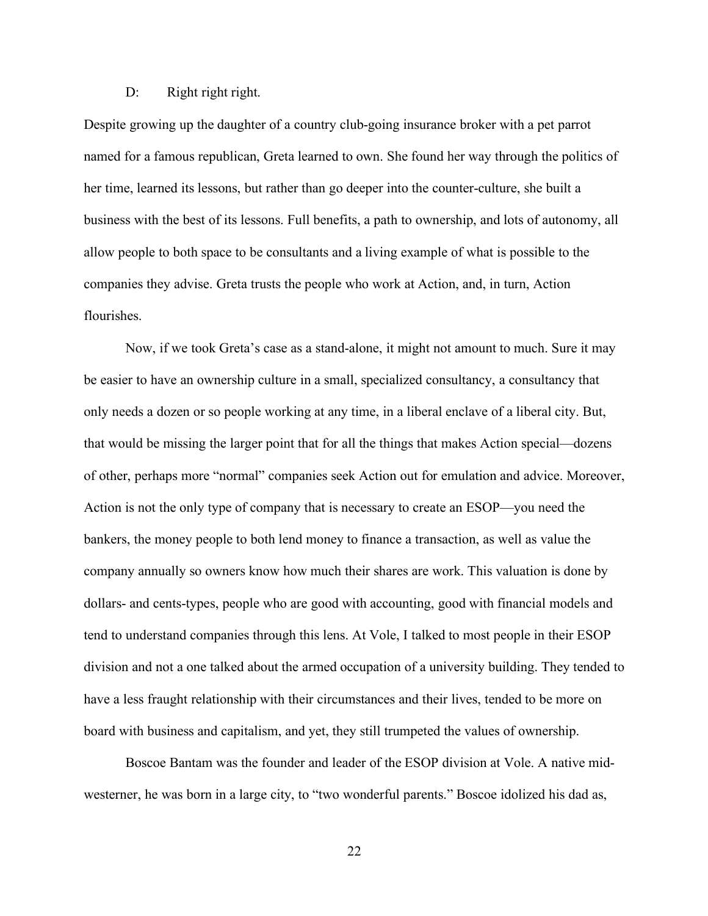## D: Right right right.

Despite growing up the daughter of a country club-going insurance broker with a pet parrot named for a famous republican, Greta learned to own. She found her way through the politics of her time, learned its lessons, but rather than go deeper into the counter-culture, she built a business with the best of its lessons. Full benefits, a path to ownership, and lots of autonomy, all allow people to both space to be consultants and a living example of what is possible to the companies they advise. Greta trusts the people who work at Action, and, in turn, Action flourishes.

Now, if we took Greta's case as a stand-alone, it might not amount to much. Sure it may be easier to have an ownership culture in a small, specialized consultancy, a consultancy that only needs a dozen or so people working at any time, in a liberal enclave of a liberal city. But, that would be missing the larger point that for all the things that makes Action special—dozens of other, perhaps more "normal" companies seek Action out for emulation and advice. Moreover, Action is not the only type of company that is necessary to create an ESOP—you need the bankers, the money people to both lend money to finance a transaction, as well as value the company annually so owners know how much their shares are work. This valuation is done by dollars- and cents-types, people who are good with accounting, good with financial models and tend to understand companies through this lens. At Vole, I talked to most people in their ESOP division and not a one talked about the armed occupation of a university building. They tended to have a less fraught relationship with their circumstances and their lives, tended to be more on board with business and capitalism, and yet, they still trumpeted the values of ownership.

Boscoe Bantam was the founder and leader of the ESOP division at Vole. A native midwesterner, he was born in a large city, to "two wonderful parents." Boscoe idolized his dad as,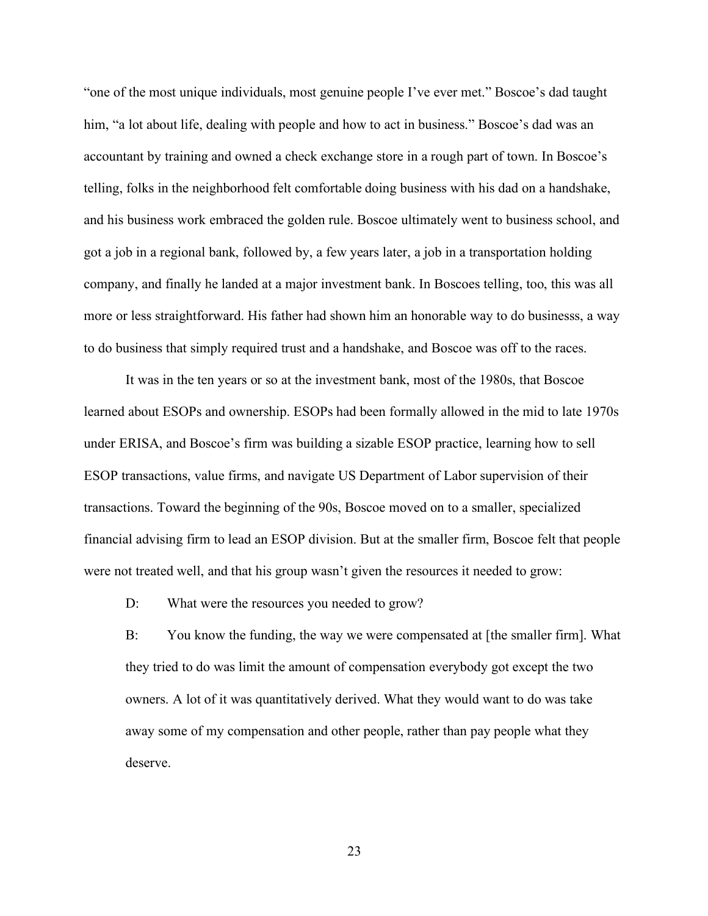"one of the most unique individuals, most genuine people I've ever met." Boscoe's dad taught him, "a lot about life, dealing with people and how to act in business." Boscoe's dad was an accountant by training and owned a check exchange store in a rough part of town. In Boscoe's telling, folks in the neighborhood felt comfortable doing business with his dad on a handshake, and his business work embraced the golden rule. Boscoe ultimately went to business school, and got a job in a regional bank, followed by, a few years later, a job in a transportation holding company, and finally he landed at a major investment bank. In Boscoes telling, too, this was all more or less straightforward. His father had shown him an honorable way to do businesss, a way to do business that simply required trust and a handshake, and Boscoe was off to the races.

It was in the ten years or so at the investment bank, most of the 1980s, that Boscoe learned about ESOPs and ownership. ESOPs had been formally allowed in the mid to late 1970s under ERISA, and Boscoe's firm was building a sizable ESOP practice, learning how to sell ESOP transactions, value firms, and navigate US Department of Labor supervision of their transactions. Toward the beginning of the 90s, Boscoe moved on to a smaller, specialized financial advising firm to lead an ESOP division. But at the smaller firm, Boscoe felt that people were not treated well, and that his group wasn't given the resources it needed to grow:

D: What were the resources you needed to grow?

B: You know the funding, the way we were compensated at [the smaller firm]. What they tried to do was limit the amount of compensation everybody got except the two owners. A lot of it was quantitatively derived. What they would want to do was take away some of my compensation and other people, rather than pay people what they deserve.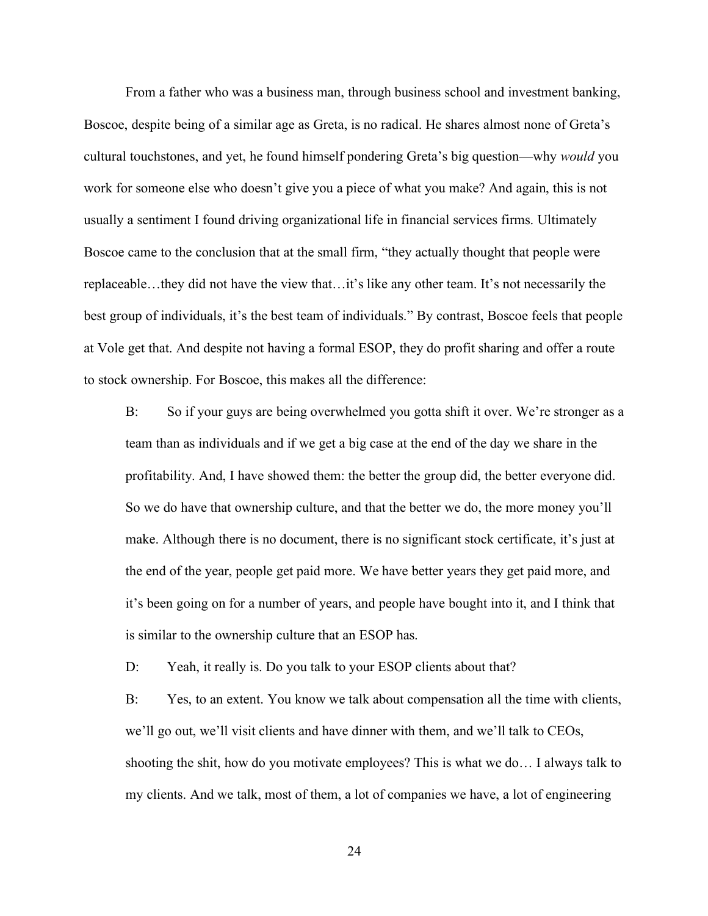From a father who was a business man, through business school and investment banking, Boscoe, despite being of a similar age as Greta, is no radical. He shares almost none of Greta's cultural touchstones, and yet, he found himself pondering Greta's big question—why *would* you work for someone else who doesn't give you a piece of what you make? And again, this is not usually a sentiment I found driving organizational life in financial services firms. Ultimately Boscoe came to the conclusion that at the small firm, "they actually thought that people were replaceable…they did not have the view that…it's like any other team. It's not necessarily the best group of individuals, it's the best team of individuals." By contrast, Boscoe feels that people at Vole get that. And despite not having a formal ESOP, they do profit sharing and offer a route to stock ownership. For Boscoe, this makes all the difference:

B: So if your guys are being overwhelmed you gotta shift it over. We're stronger as a team than as individuals and if we get a big case at the end of the day we share in the profitability. And, I have showed them: the better the group did, the better everyone did. So we do have that ownership culture, and that the better we do, the more money you'll make. Although there is no document, there is no significant stock certificate, it's just at the end of the year, people get paid more. We have better years they get paid more, and it's been going on for a number of years, and people have bought into it, and I think that is similar to the ownership culture that an ESOP has.

D: Yeah, it really is. Do you talk to your ESOP clients about that?

B: Yes, to an extent. You know we talk about compensation all the time with clients, we'll go out, we'll visit clients and have dinner with them, and we'll talk to CEOs, shooting the shit, how do you motivate employees? This is what we do… I always talk to my clients. And we talk, most of them, a lot of companies we have, a lot of engineering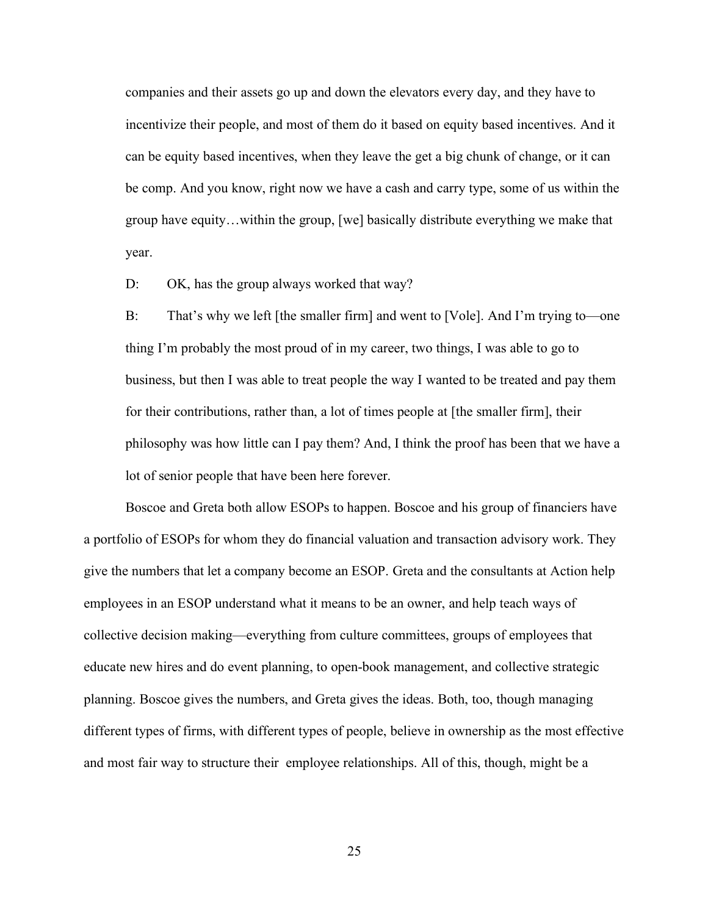companies and their assets go up and down the elevators every day, and they have to incentivize their people, and most of them do it based on equity based incentives. And it can be equity based incentives, when they leave the get a big chunk of change, or it can be comp. And you know, right now we have a cash and carry type, some of us within the group have equity…within the group, [we] basically distribute everything we make that year.

D: OK, has the group always worked that way?

B: That's why we left [the smaller firm] and went to [Vole]. And I'm trying to—one thing I'm probably the most proud of in my career, two things, I was able to go to business, but then I was able to treat people the way I wanted to be treated and pay them for their contributions, rather than, a lot of times people at [the smaller firm], their philosophy was how little can I pay them? And, I think the proof has been that we have a lot of senior people that have been here forever.

Boscoe and Greta both allow ESOPs to happen. Boscoe and his group of financiers have a portfolio of ESOPs for whom they do financial valuation and transaction advisory work. They give the numbers that let a company become an ESOP. Greta and the consultants at Action help employees in an ESOP understand what it means to be an owner, and help teach ways of collective decision making—everything from culture committees, groups of employees that educate new hires and do event planning, to open-book management, and collective strategic planning. Boscoe gives the numbers, and Greta gives the ideas. Both, too, though managing different types of firms, with different types of people, believe in ownership as the most effective and most fair way to structure their employee relationships. All of this, though, might be a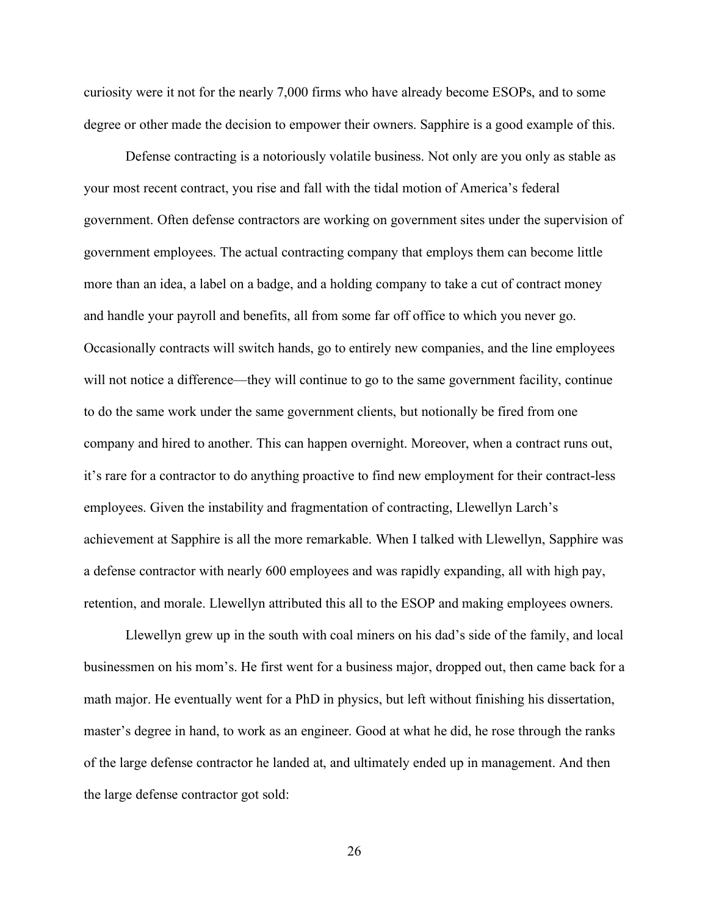curiosity were it not for the nearly 7,000 firms who have already become ESOPs, and to some degree or other made the decision to empower their owners. Sapphire is a good example of this.

Defense contracting is a notoriously volatile business. Not only are you only as stable as your most recent contract, you rise and fall with the tidal motion of America's federal government. Often defense contractors are working on government sites under the supervision of government employees. The actual contracting company that employs them can become little more than an idea, a label on a badge, and a holding company to take a cut of contract money and handle your payroll and benefits, all from some far off office to which you never go. Occasionally contracts will switch hands, go to entirely new companies, and the line employees will not notice a difference—they will continue to go to the same government facility, continue to do the same work under the same government clients, but notionally be fired from one company and hired to another. This can happen overnight. Moreover, when a contract runs out, it's rare for a contractor to do anything proactive to find new employment for their contract-less employees. Given the instability and fragmentation of contracting, Llewellyn Larch's achievement at Sapphire is all the more remarkable. When I talked with Llewellyn, Sapphire was a defense contractor with nearly 600 employees and was rapidly expanding, all with high pay, retention, and morale. Llewellyn attributed this all to the ESOP and making employees owners.

Llewellyn grew up in the south with coal miners on his dad's side of the family, and local businessmen on his mom's. He first went for a business major, dropped out, then came back for a math major. He eventually went for a PhD in physics, but left without finishing his dissertation, master's degree in hand, to work as an engineer. Good at what he did, he rose through the ranks of the large defense contractor he landed at, and ultimately ended up in management. And then the large defense contractor got sold: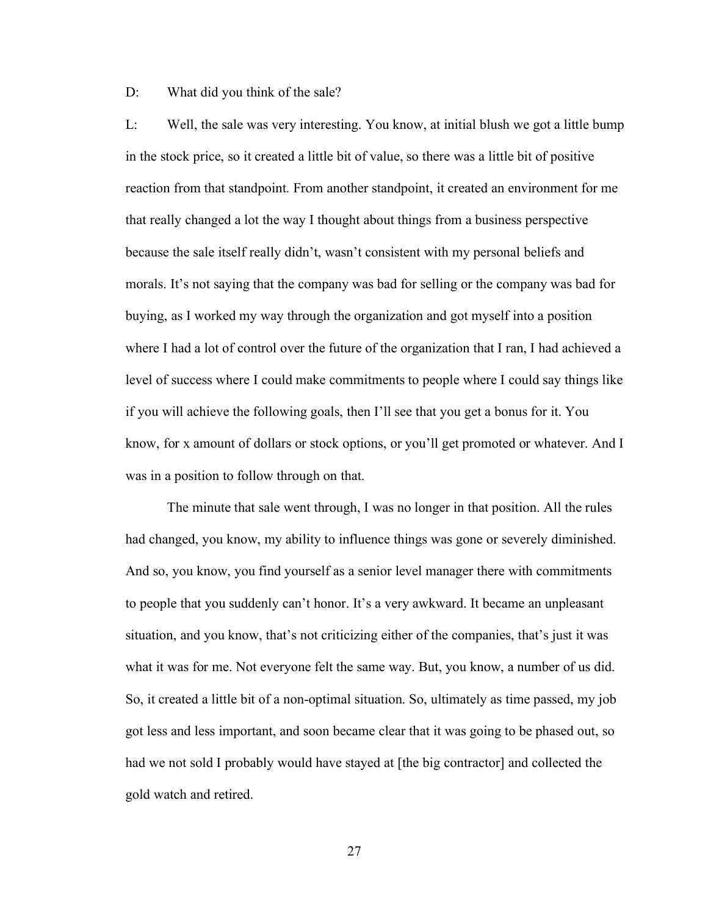D: What did you think of the sale?

L: Well, the sale was very interesting. You know, at initial blush we got a little bump in the stock price, so it created a little bit of value, so there was a little bit of positive reaction from that standpoint. From another standpoint, it created an environment for me that really changed a lot the way I thought about things from a business perspective because the sale itself really didn't, wasn't consistent with my personal beliefs and morals. It's not saying that the company was bad for selling or the company was bad for buying, as I worked my way through the organization and got myself into a position where I had a lot of control over the future of the organization that I ran, I had achieved a level of success where I could make commitments to people where I could say things like if you will achieve the following goals, then I'll see that you get a bonus for it. You know, for x amount of dollars or stock options, or you'll get promoted or whatever. And I was in a position to follow through on that.

The minute that sale went through, I was no longer in that position. All the rules had changed, you know, my ability to influence things was gone or severely diminished. And so, you know, you find yourself as a senior level manager there with commitments to people that you suddenly can't honor. It's a very awkward. It became an unpleasant situation, and you know, that's not criticizing either of the companies, that's just it was what it was for me. Not everyone felt the same way. But, you know, a number of us did. So, it created a little bit of a non-optimal situation. So, ultimately as time passed, my job got less and less important, and soon became clear that it was going to be phased out, so had we not sold I probably would have stayed at [the big contractor] and collected the gold watch and retired.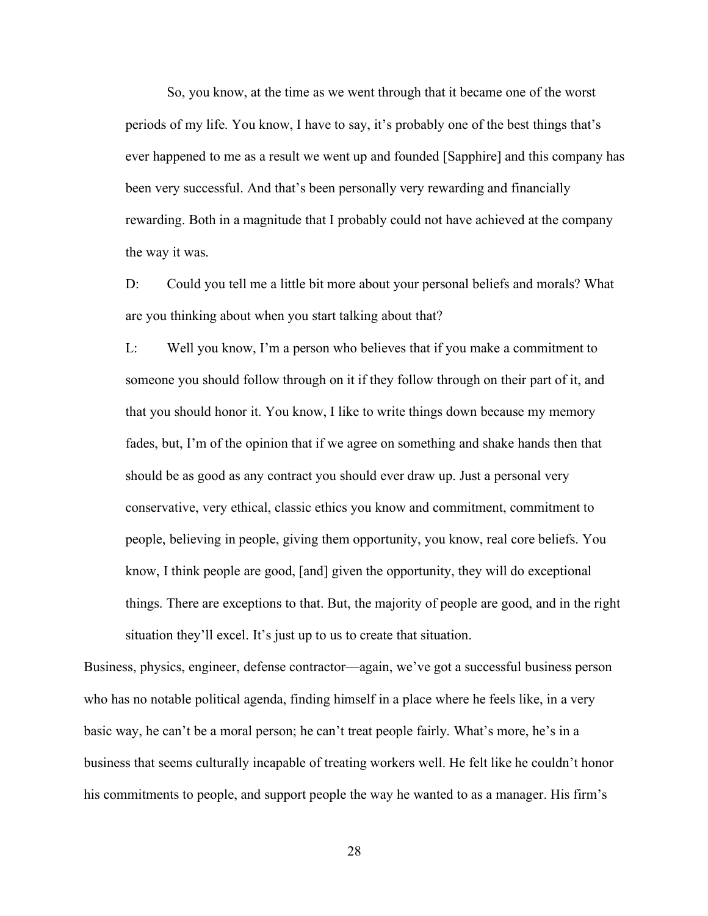So, you know, at the time as we went through that it became one of the worst periods of my life. You know, I have to say, it's probably one of the best things that's ever happened to me as a result we went up and founded [Sapphire] and this company has been very successful. And that's been personally very rewarding and financially rewarding. Both in a magnitude that I probably could not have achieved at the company the way it was.

D: Could you tell me a little bit more about your personal beliefs and morals? What are you thinking about when you start talking about that?

L: Well you know, I'm a person who believes that if you make a commitment to someone you should follow through on it if they follow through on their part of it, and that you should honor it. You know, I like to write things down because my memory fades, but, I'm of the opinion that if we agree on something and shake hands then that should be as good as any contract you should ever draw up. Just a personal very conservative, very ethical, classic ethics you know and commitment, commitment to people, believing in people, giving them opportunity, you know, real core beliefs. You know, I think people are good, [and] given the opportunity, they will do exceptional things. There are exceptions to that. But, the majority of people are good, and in the right situation they'll excel. It's just up to us to create that situation.

Business, physics, engineer, defense contractor—again, we've got a successful business person who has no notable political agenda, finding himself in a place where he feels like, in a very basic way, he can't be a moral person; he can't treat people fairly. What's more, he's in a business that seems culturally incapable of treating workers well. He felt like he couldn't honor his commitments to people, and support people the way he wanted to as a manager. His firm's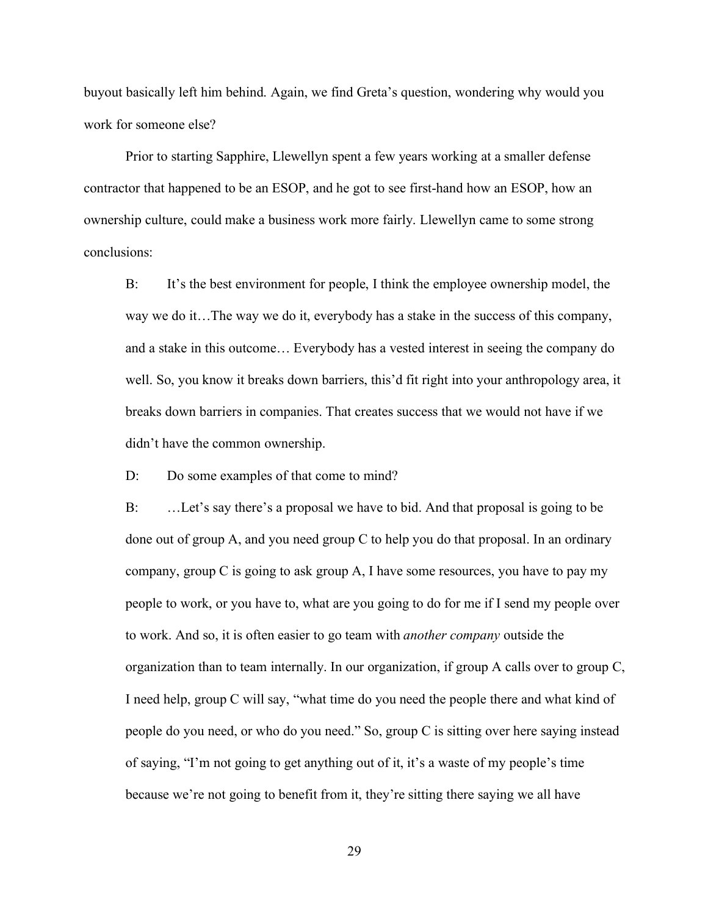buyout basically left him behind. Again, we find Greta's question, wondering why would you work for someone else?

Prior to starting Sapphire, Llewellyn spent a few years working at a smaller defense contractor that happened to be an ESOP, and he got to see first-hand how an ESOP, how an ownership culture, could make a business work more fairly. Llewellyn came to some strong conclusions:

B: It's the best environment for people, I think the employee ownership model, the way we do it…The way we do it, everybody has a stake in the success of this company, and a stake in this outcome… Everybody has a vested interest in seeing the company do well. So, you know it breaks down barriers, this'd fit right into your anthropology area, it breaks down barriers in companies. That creates success that we would not have if we didn't have the common ownership.

D: Do some examples of that come to mind?

B: …Let's say there's a proposal we have to bid. And that proposal is going to be done out of group A, and you need group C to help you do that proposal. In an ordinary company, group C is going to ask group A, I have some resources, you have to pay my people to work, or you have to, what are you going to do for me if I send my people over to work. And so, it is often easier to go team with *another company* outside the organization than to team internally. In our organization, if group A calls over to group C, I need help, group C will say, "what time do you need the people there and what kind of people do you need, or who do you need." So, group C is sitting over here saying instead of saying, "I'm not going to get anything out of it, it's a waste of my people's time because we're not going to benefit from it, they're sitting there saying we all have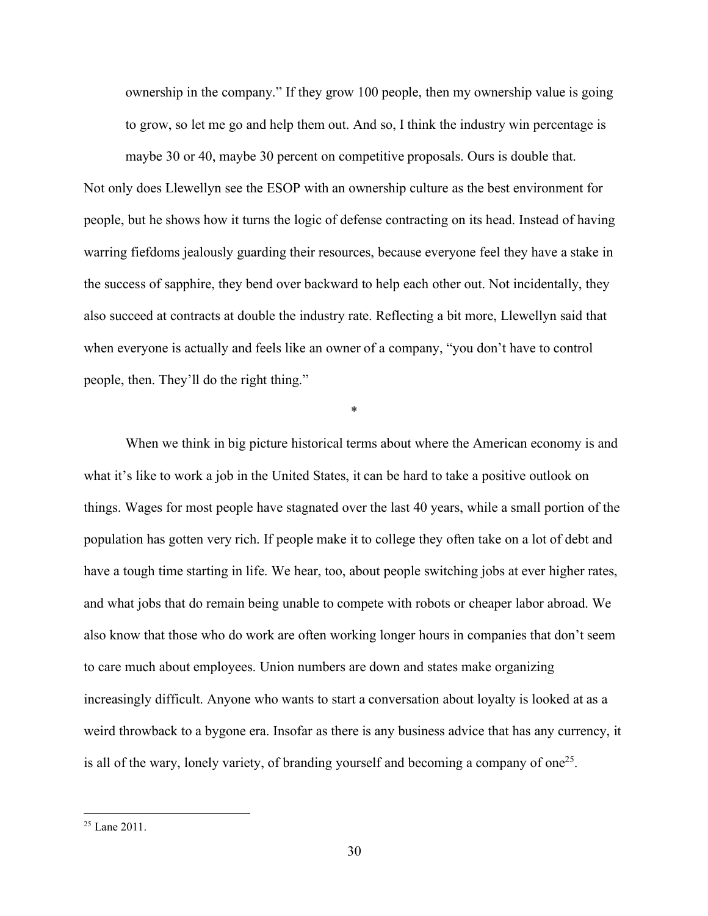ownership in the company." If they grow 100 people, then my ownership value is going to grow, so let me go and help them out. And so, I think the industry win percentage is

maybe 30 or 40, maybe 30 percent on competitive proposals. Ours is double that. Not only does Llewellyn see the ESOP with an ownership culture as the best environment for people, but he shows how it turns the logic of defense contracting on its head. Instead of having warring fiefdoms jealously guarding their resources, because everyone feel they have a stake in the success of sapphire, they bend over backward to help each other out. Not incidentally, they also succeed at contracts at double the industry rate. Reflecting a bit more, Llewellyn said that when everyone is actually and feels like an owner of a company, "you don't have to control people, then. They'll do the right thing."

\*

When we think in big picture historical terms about where the American economy is and what it's like to work a job in the United States, it can be hard to take a positive outlook on things. Wages for most people have stagnated over the last 40 years, while a small portion of the population has gotten very rich. If people make it to college they often take on a lot of debt and have a tough time starting in life. We hear, too, about people switching jobs at ever higher rates, and what jobs that do remain being unable to compete with robots or cheaper labor abroad. We also know that those who do work are often working longer hours in companies that don't seem to care much about employees. Union numbers are down and states make organizing increasingly difficult. Anyone who wants to start a conversation about loyalty is looked at as a weird throwback to a bygone era. Insofar as there is any business advice that has any currency, it is all of the wary, lonely variety, of branding yourself and becoming a company of one<sup>25</sup>.

 $25$  Lane 2011.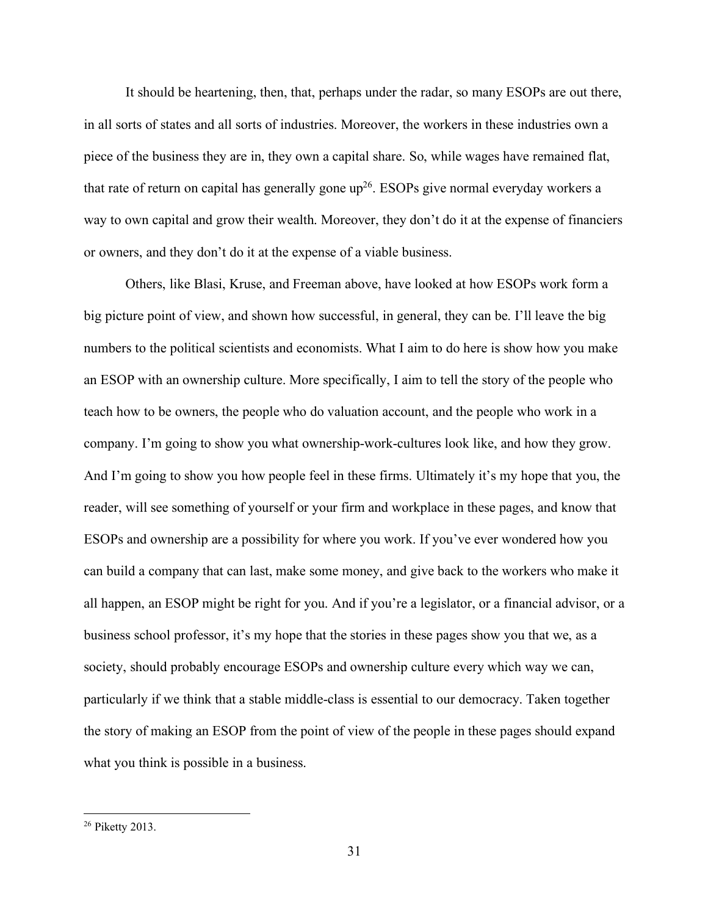It should be heartening, then, that, perhaps under the radar, so many ESOPs are out there, in all sorts of states and all sorts of industries. Moreover, the workers in these industries own a piece of the business they are in, they own a capital share. So, while wages have remained flat, that rate of return on capital has generally gone  $up^{26}$ . ESOPs give normal everyday workers a way to own capital and grow their wealth. Moreover, they don't do it at the expense of financiers or owners, and they don't do it at the expense of a viable business.

Others, like Blasi, Kruse, and Freeman above, have looked at how ESOPs work form a big picture point of view, and shown how successful, in general, they can be. I'll leave the big numbers to the political scientists and economists. What I aim to do here is show how you make an ESOP with an ownership culture. More specifically, I aim to tell the story of the people who teach how to be owners, the people who do valuation account, and the people who work in a company. I'm going to show you what ownership-work-cultures look like, and how they grow. And I'm going to show you how people feel in these firms. Ultimately it's my hope that you, the reader, will see something of yourself or your firm and workplace in these pages, and know that ESOPs and ownership are a possibility for where you work. If you've ever wondered how you can build a company that can last, make some money, and give back to the workers who make it all happen, an ESOP might be right for you. And if you're a legislator, or a financial advisor, or a business school professor, it's my hope that the stories in these pages show you that we, as a society, should probably encourage ESOPs and ownership culture every which way we can, particularly if we think that a stable middle-class is essential to our democracy. Taken together the story of making an ESOP from the point of view of the people in these pages should expand what you think is possible in a business.

 <sup>26</sup> Piketty 2013.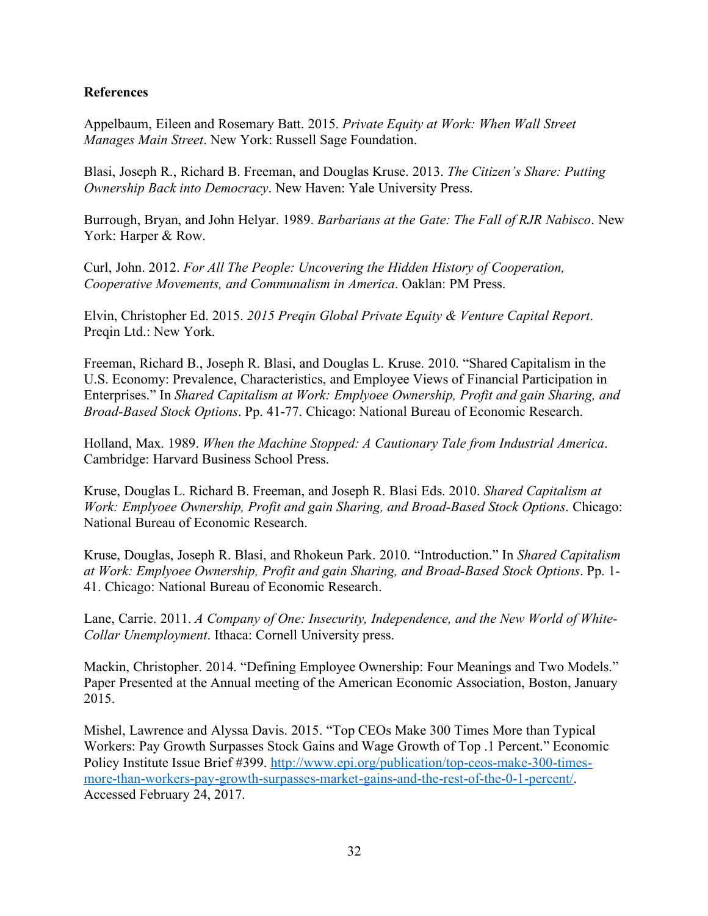## **References**

Appelbaum, Eileen and Rosemary Batt. 2015. *Private Equity at Work: When Wall Street Manages Main Street*. New York: Russell Sage Foundation.

Blasi, Joseph R., Richard B. Freeman, and Douglas Kruse. 2013. *The Citizen's Share: Putting Ownership Back into Democracy*. New Haven: Yale University Press.

Burrough, Bryan, and John Helyar. 1989. *Barbarians at the Gate: The Fall of RJR Nabisco*. New York: Harper & Row.

Curl, John. 2012. *For All The People: Uncovering the Hidden History of Cooperation, Cooperative Movements, and Communalism in America*. Oaklan: PM Press.

Elvin, Christopher Ed. 2015. *2015 Preqin Global Private Equity & Venture Capital Report*. Preqin Ltd.: New York.

Freeman, Richard B., Joseph R. Blasi, and Douglas L. Kruse. 2010. "Shared Capitalism in the U.S. Economy: Prevalence, Characteristics, and Employee Views of Financial Participation in Enterprises." In *Shared Capitalism at Work: Emplyoee Ownership, Profit and gain Sharing, and Broad-Based Stock Options*. Pp. 41-77. Chicago: National Bureau of Economic Research.

Holland, Max. 1989. *When the Machine Stopped: A Cautionary Tale from Industrial America*. Cambridge: Harvard Business School Press.

Kruse, Douglas L. Richard B. Freeman, and Joseph R. Blasi Eds. 2010. *Shared Capitalism at Work: Emplyoee Ownership, Profit and gain Sharing, and Broad-Based Stock Options*. Chicago: National Bureau of Economic Research.

Kruse, Douglas, Joseph R. Blasi, and Rhokeun Park. 2010. "Introduction." In *Shared Capitalism at Work: Emplyoee Ownership, Profit and gain Sharing, and Broad-Based Stock Options*. Pp. 1- 41. Chicago: National Bureau of Economic Research.

Lane, Carrie. 2011. *A Company of One: Insecurity, Independence, and the New World of White-Collar Unemployment*. Ithaca: Cornell University press.

Mackin, Christopher. 2014. "Defining Employee Ownership: Four Meanings and Two Models." Paper Presented at the Annual meeting of the American Economic Association, Boston, January 2015.

Mishel, Lawrence and Alyssa Davis. 2015. "Top CEOs Make 300 Times More than Typical Workers: Pay Growth Surpasses Stock Gains and Wage Growth of Top .1 Percent." Economic Policy Institute Issue Brief #399. http://www.epi.org/publication/top-ceos-make-300-timesmore-than-workers-pay-growth-surpasses-market-gains-and-the-rest-of-the-0-1-percent/. Accessed February 24, 2017.